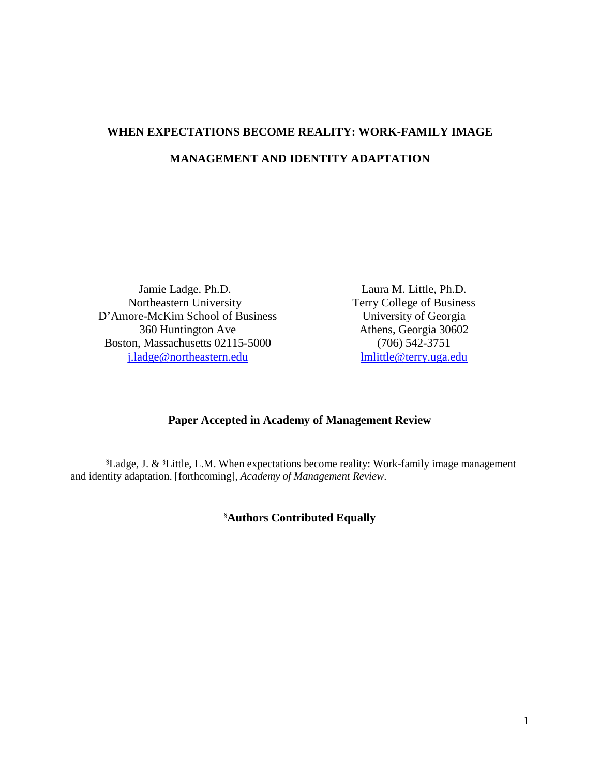# **WHEN EXPECTATIONS BECOME REALITY: WORK-FAMILY IMAGE MANAGEMENT AND IDENTITY ADAPTATION**

Jamie Ladge. Ph.D. Northeastern University D'Amore-McKim School of Business 360 Huntington Ave Boston, Massachusetts 02115-5000 [j.ladge@northeastern.edu](mailto:j.ladge@northeastern.edu)

Laura M. Little, Ph.D. Terry College of Business University of Georgia Athens, Georgia 30602 (706) 542-3751 [lmlittle@terry.uga.edu](mailto:lmlittle@terry.uga.edu)

## **Paper Accepted in Academy of Management Review**

§ Ladge, J. & § Little, L.M. When expectations become reality: Work-family image management and identity adaptation. [forthcoming], *Academy of Management Review*.

§ **Authors Contributed Equally**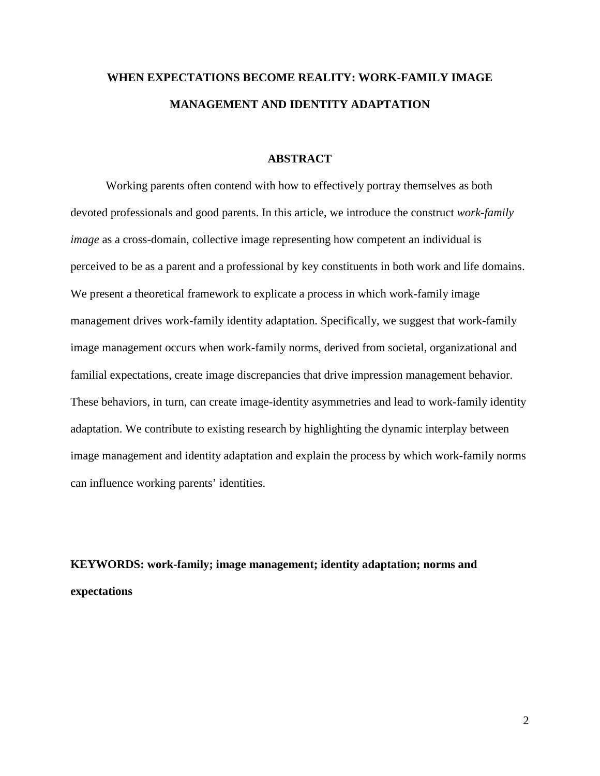## **WHEN EXPECTATIONS BECOME REALITY: WORK-FAMILY IMAGE MANAGEMENT AND IDENTITY ADAPTATION**

#### **ABSTRACT**

Working parents often contend with how to effectively portray themselves as both devoted professionals and good parents. In this article, we introduce the construct *work-family image* as a cross-domain, collective image representing how competent an individual is perceived to be as a parent and a professional by key constituents in both work and life domains. We present a theoretical framework to explicate a process in which work-family image management drives work-family identity adaptation. Specifically, we suggest that work-family image management occurs when work-family norms, derived from societal, organizational and familial expectations, create image discrepancies that drive impression management behavior. These behaviors, in turn, can create image-identity asymmetries and lead to work-family identity adaptation. We contribute to existing research by highlighting the dynamic interplay between image management and identity adaptation and explain the process by which work-family norms can influence working parents' identities.

## **KEYWORDS: work-family; image management; identity adaptation; norms and expectations**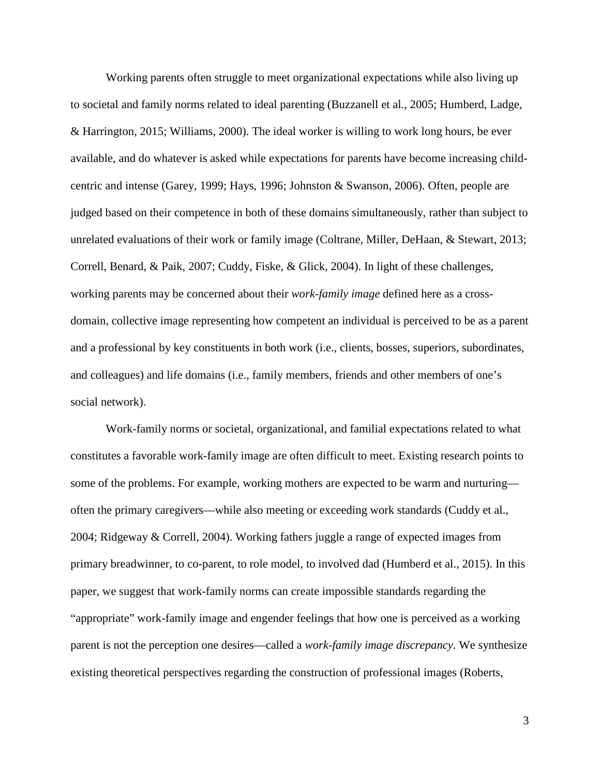Working parents often struggle to meet organizational expectations while also living up to societal and family norms related to ideal parenting (Buzzanell et al., 2005; Humberd, Ladge, & Harrington, 2015; Williams, 2000). The ideal worker is willing to work long hours, be ever available, and do whatever is asked while expectations for parents have become increasing childcentric and intense (Garey, 1999; Hays, 1996; Johnston & Swanson, 2006). Often, people are judged based on their competence in both of these domains simultaneously, rather than subject to unrelated evaluations of their work or family image (Coltrane, Miller, DeHaan, & Stewart, 2013; Correll, Benard, & Paik, 2007; Cuddy, Fiske, & Glick, 2004). In light of these challenges, working parents may be concerned about their *work-family image* defined here as a crossdomain, collective image representing how competent an individual is perceived to be as a parent and a professional by key constituents in both work (i.e., clients, bosses, superiors, subordinates, and colleagues) and life domains (i.e., family members, friends and other members of one's social network).

Work-family norms or societal, organizational, and familial expectations related to what constitutes a favorable work-family image are often difficult to meet. Existing research points to some of the problems. For example, working mothers are expected to be warm and nurturing often the primary caregivers—while also meeting or exceeding work standards (Cuddy et al., 2004; Ridgeway & Correll, 2004). Working fathers juggle a range of expected images from primary breadwinner, to co-parent, to role model, to involved dad (Humberd et al., 2015). In this paper, we suggest that work-family norms can create impossible standards regarding the "appropriate" work-family image and engender feelings that how one is perceived as a working parent is not the perception one desires—called a *work-family image discrepancy*. We synthesize existing theoretical perspectives regarding the construction of professional images (Roberts,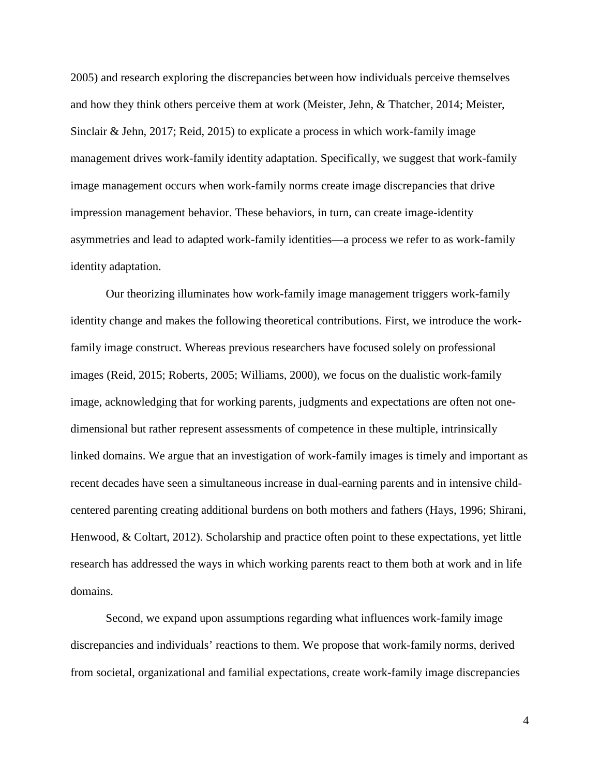2005) and research exploring the discrepancies between how individuals perceive themselves and how they think others perceive them at work (Meister, Jehn, & Thatcher, 2014; Meister, Sinclair & Jehn, 2017; Reid, 2015) to explicate a process in which work-family image management drives work-family identity adaptation. Specifically, we suggest that work-family image management occurs when work-family norms create image discrepancies that drive impression management behavior. These behaviors, in turn, can create image-identity asymmetries and lead to adapted work-family identities—a process we refer to as work-family identity adaptation.

Our theorizing illuminates how work-family image management triggers work-family identity change and makes the following theoretical contributions. First, we introduce the workfamily image construct. Whereas previous researchers have focused solely on professional images (Reid, 2015; Roberts, 2005; Williams, 2000), we focus on the dualistic work-family image, acknowledging that for working parents, judgments and expectations are often not onedimensional but rather represent assessments of competence in these multiple, intrinsically linked domains. We argue that an investigation of work-family images is timely and important as recent decades have seen a simultaneous increase in dual-earning parents and in intensive childcentered parenting creating additional burdens on both mothers and fathers (Hays, 1996; Shirani, Henwood, & Coltart, 2012). Scholarship and practice often point to these expectations, yet little research has addressed the ways in which working parents react to them both at work and in life domains.

Second, we expand upon assumptions regarding what influences work-family image discrepancies and individuals' reactions to them. We propose that work-family norms, derived from societal, organizational and familial expectations, create work-family image discrepancies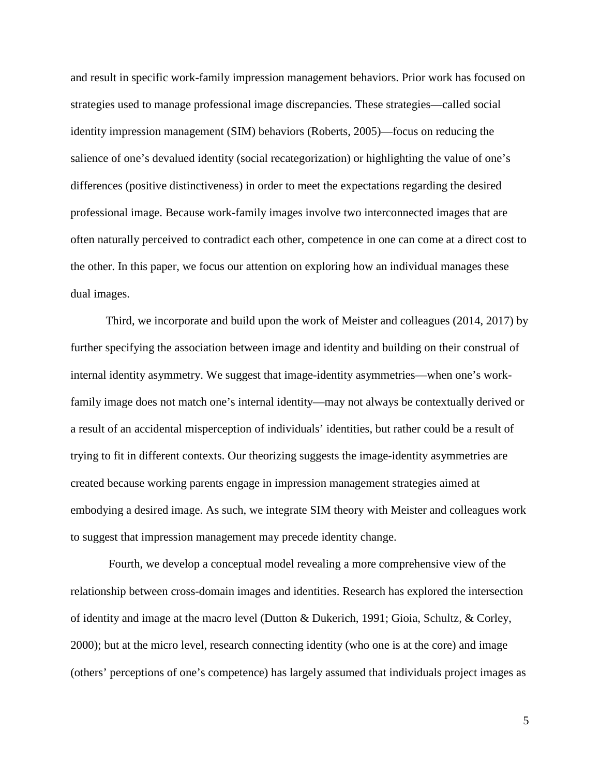and result in specific work-family impression management behaviors. Prior work has focused on strategies used to manage professional image discrepancies. These strategies—called social identity impression management (SIM) behaviors (Roberts, 2005)—focus on reducing the salience of one's devalued identity (social recategorization) or highlighting the value of one's differences (positive distinctiveness) in order to meet the expectations regarding the desired professional image. Because work-family images involve two interconnected images that are often naturally perceived to contradict each other, competence in one can come at a direct cost to the other. In this paper, we focus our attention on exploring how an individual manages these dual images.

Third, we incorporate and build upon the work of Meister and colleagues (2014, 2017) by further specifying the association between image and identity and building on their construal of internal identity asymmetry. We suggest that image-identity asymmetries—when one's workfamily image does not match one's internal identity—may not always be contextually derived or a result of an accidental misperception of individuals' identities, but rather could be a result of trying to fit in different contexts. Our theorizing suggests the image-identity asymmetries are created because working parents engage in impression management strategies aimed at embodying a desired image. As such, we integrate SIM theory with Meister and colleagues work to suggest that impression management may precede identity change.

Fourth, we develop a conceptual model revealing a more comprehensive view of the relationship between cross-domain images and identities. Research has explored the intersection of identity and image at the macro level (Dutton & Dukerich, 1991; Gioia, Schultz, & Corley, 2000); but at the micro level, research connecting identity (who one is at the core) and image (others' perceptions of one's competence) has largely assumed that individuals project images as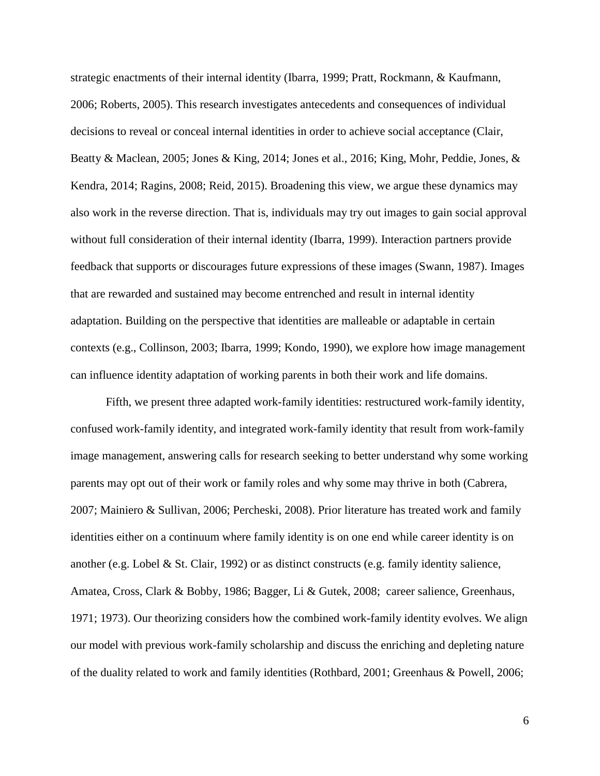strategic enactments of their internal identity (Ibarra, 1999; Pratt, Rockmann, & Kaufmann, 2006; Roberts, 2005). This research investigates antecedents and consequences of individual decisions to reveal or conceal internal identities in order to achieve social acceptance (Clair, Beatty & Maclean, 2005; Jones & King, 2014; Jones et al., 2016; King, Mohr, Peddie, Jones, & Kendra, 2014; Ragins, 2008; Reid, 2015). Broadening this view, we argue these dynamics may also work in the reverse direction. That is, individuals may try out images to gain social approval without full consideration of their internal identity (Ibarra, 1999). Interaction partners provide feedback that supports or discourages future expressions of these images (Swann, 1987). Images that are rewarded and sustained may become entrenched and result in internal identity adaptation. Building on the perspective that identities are malleable or adaptable in certain contexts (e.g., Collinson, 2003; Ibarra, 1999; Kondo, 1990), we explore how image management can influence identity adaptation of working parents in both their work and life domains.

Fifth, we present three adapted work-family identities: restructured work-family identity, confused work-family identity, and integrated work-family identity that result from work-family image management, answering calls for research seeking to better understand why some working parents may opt out of their work or family roles and why some may thrive in both (Cabrera, 2007; Mainiero & Sullivan, 2006; Percheski, 2008). Prior literature has treated work and family identities either on a continuum where family identity is on one end while career identity is on another (e.g. Lobel & St. Clair, 1992) or as distinct constructs (e.g. family identity salience, Amatea, Cross, Clark & Bobby, 1986; Bagger, Li & Gutek, 2008; career salience, Greenhaus, 1971; 1973). Our theorizing considers how the combined work-family identity evolves. We align our model with previous work-family scholarship and discuss the enriching and depleting nature of the duality related to work and family identities (Rothbard, 2001; Greenhaus & Powell, 2006;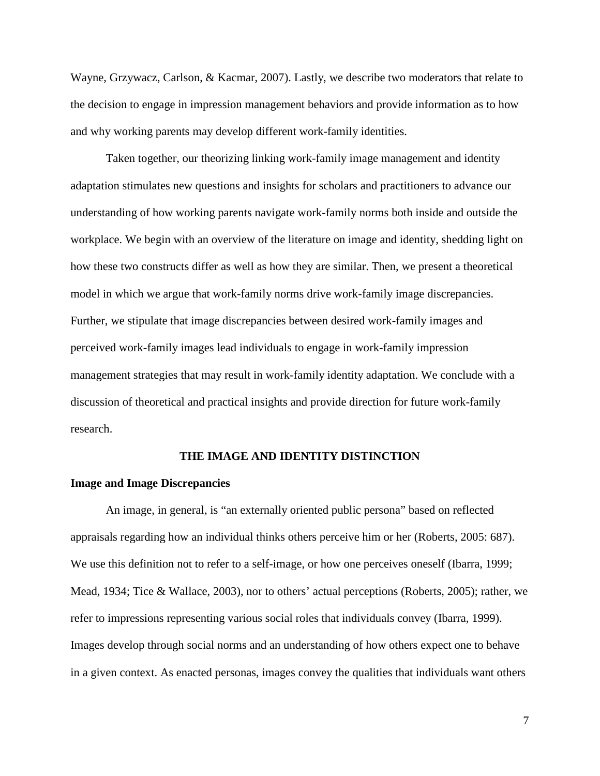Wayne, Grzywacz, Carlson, & Kacmar, 2007). Lastly, we describe two moderators that relate to the decision to engage in impression management behaviors and provide information as to how and why working parents may develop different work-family identities.

Taken together, our theorizing linking work-family image management and identity adaptation stimulates new questions and insights for scholars and practitioners to advance our understanding of how working parents navigate work-family norms both inside and outside the workplace. We begin with an overview of the literature on image and identity, shedding light on how these two constructs differ as well as how they are similar. Then, we present a theoretical model in which we argue that work-family norms drive work-family image discrepancies. Further, we stipulate that image discrepancies between desired work-family images and perceived work-family images lead individuals to engage in work-family impression management strategies that may result in work-family identity adaptation. We conclude with a discussion of theoretical and practical insights and provide direction for future work-family research.

#### **THE IMAGE AND IDENTITY DISTINCTION**

#### **Image and Image Discrepancies**

An image, in general, is "an externally oriented public persona" based on reflected appraisals regarding how an individual thinks others perceive him or her (Roberts, 2005: 687). We use this definition not to refer to a self-image, or how one perceives oneself (Ibarra, 1999; Mead, 1934; Tice & Wallace, 2003), nor to others' actual perceptions (Roberts, 2005); rather, we refer to impressions representing various social roles that individuals convey (Ibarra, 1999). Images develop through social norms and an understanding of how others expect one to behave in a given context. As enacted personas, images convey the qualities that individuals want others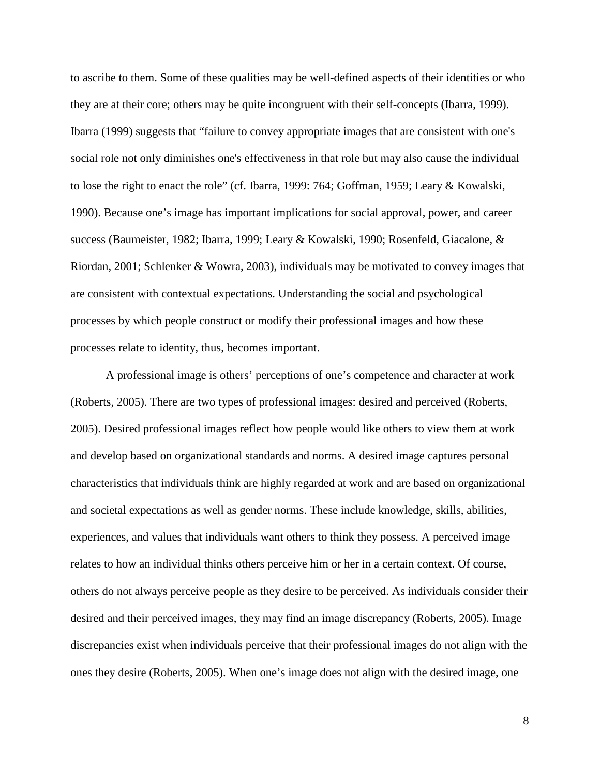to ascribe to them. Some of these qualities may be well-defined aspects of their identities or who they are at their core; others may be quite incongruent with their self-concepts (Ibarra, 1999). Ibarra (1999) suggests that "failure to convey appropriate images that are consistent with one's social role not only diminishes one's effectiveness in that role but may also cause the individual to lose the right to enact the role" (cf. Ibarra, 1999: 764; Goffman, 1959; Leary & Kowalski, 1990). Because one's image has important implications for social approval, power, and career success (Baumeister, 1982; Ibarra, 1999; Leary & Kowalski, 1990; Rosenfeld, Giacalone, & Riordan, 2001; Schlenker & Wowra, 2003), individuals may be motivated to convey images that are consistent with contextual expectations. Understanding the social and psychological processes by which people construct or modify their professional images and how these processes relate to identity, thus, becomes important.

A professional image is others' perceptions of one's competence and character at work (Roberts, 2005). There are two types of professional images: desired and perceived (Roberts, 2005). Desired professional images reflect how people would like others to view them at work and develop based on organizational standards and norms. A desired image captures personal characteristics that individuals think are highly regarded at work and are based on organizational and societal expectations as well as gender norms. These include knowledge, skills, abilities, experiences, and values that individuals want others to think they possess. A perceived image relates to how an individual thinks others perceive him or her in a certain context. Of course, others do not always perceive people as they desire to be perceived. As individuals consider their desired and their perceived images, they may find an image discrepancy (Roberts, 2005). Image discrepancies exist when individuals perceive that their professional images do not align with the ones they desire (Roberts, 2005). When one's image does not align with the desired image, one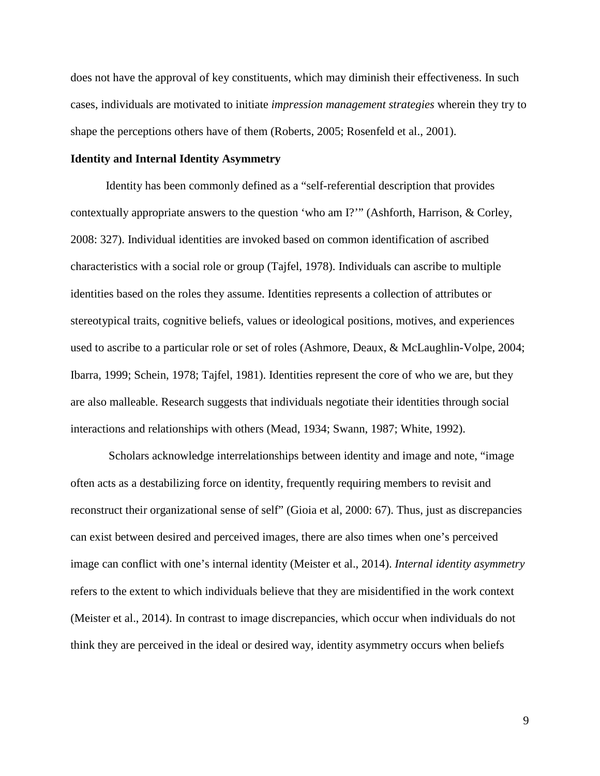does not have the approval of key constituents, which may diminish their effectiveness. In such cases, individuals are motivated to initiate *impression management strategies* wherein they try to shape the perceptions others have of them (Roberts, 2005; Rosenfeld et al., 2001).

## **Identity and Internal Identity Asymmetry**

Identity has been commonly defined as a "self-referential description that provides contextually appropriate answers to the question 'who am I?'" (Ashforth, Harrison, & Corley, 2008: 327). Individual identities are invoked based on common identification of ascribed characteristics with a social role or group (Tajfel, 1978). Individuals can ascribe to multiple identities based on the roles they assume. Identities represents a collection of attributes or stereotypical traits, cognitive beliefs, values or ideological positions, motives, and experiences used to ascribe to a particular role or set of roles (Ashmore, Deaux, & McLaughlin-Volpe, 2004; Ibarra, 1999; Schein, 1978; Tajfel, 1981). Identities represent the core of who we are, but they are also malleable. Research suggests that individuals negotiate their identities through social interactions and relationships with others (Mead, 1934; Swann, 1987; White, 1992).

Scholars acknowledge interrelationships between identity and image and note, "image often acts as a destabilizing force on identity, frequently requiring members to revisit and reconstruct their organizational sense of self" (Gioia et al, 2000: 67). Thus, just as discrepancies can exist between desired and perceived images, there are also times when one's perceived image can conflict with one's internal identity (Meister et al., 2014). *Internal identity asymmetry* refers to the extent to which individuals believe that they are misidentified in the work context (Meister et al., 2014). In contrast to image discrepancies, which occur when individuals do not think they are perceived in the ideal or desired way, identity asymmetry occurs when beliefs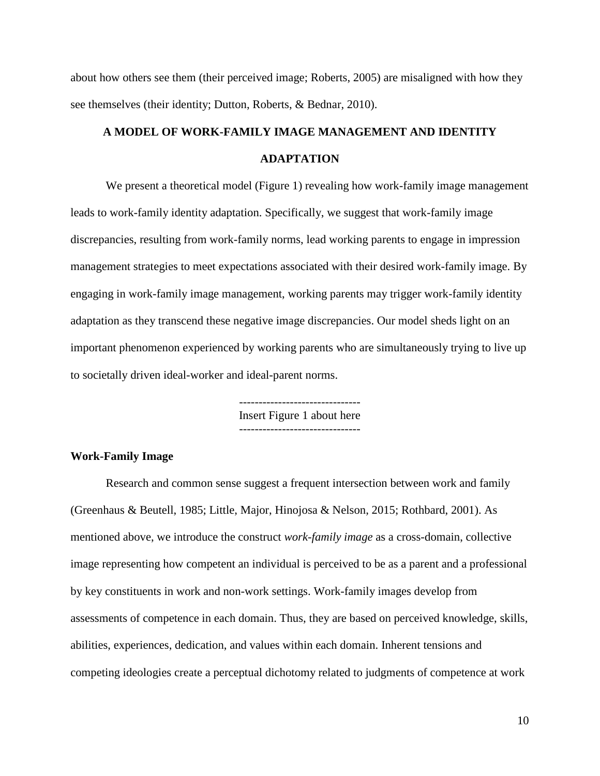about how others see them (their perceived image; Roberts, 2005) are misaligned with how they see themselves (their identity; Dutton, Roberts, & Bednar, 2010).

## **A MODEL OF WORK-FAMILY IMAGE MANAGEMENT AND IDENTITY ADAPTATION**

We present a theoretical model (Figure 1) revealing how work-family image management leads to work-family identity adaptation. Specifically, we suggest that work-family image discrepancies, resulting from work-family norms, lead working parents to engage in impression management strategies to meet expectations associated with their desired work-family image. By engaging in work-family image management, working parents may trigger work-family identity adaptation as they transcend these negative image discrepancies. Our model sheds light on an important phenomenon experienced by working parents who are simultaneously trying to live up to societally driven ideal-worker and ideal-parent norms.

> ------------------------------- Insert Figure 1 about here -------------------------------

### **Work-Family Image**

Research and common sense suggest a frequent intersection between work and family (Greenhaus & Beutell, 1985; Little, Major, Hinojosa & Nelson, 2015; Rothbard, 2001). As mentioned above, we introduce the construct *work-family image* as a cross-domain, collective image representing how competent an individual is perceived to be as a parent and a professional by key constituents in work and non-work settings. Work-family images develop from assessments of competence in each domain. Thus, they are based on perceived knowledge, skills, abilities, experiences, dedication, and values within each domain. Inherent tensions and competing ideologies create a perceptual dichotomy related to judgments of competence at work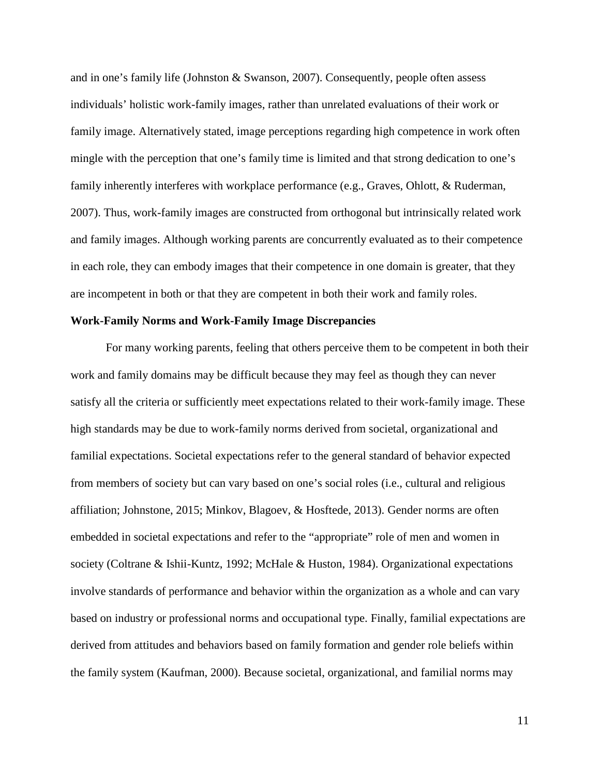and in one's family life (Johnston & Swanson, 2007). Consequently, people often assess individuals' holistic work-family images, rather than unrelated evaluations of their work or family image. Alternatively stated, image perceptions regarding high competence in work often mingle with the perception that one's family time is limited and that strong dedication to one's family inherently interferes with workplace performance (e.g., Graves, Ohlott, & Ruderman, 2007). Thus, work-family images are constructed from orthogonal but intrinsically related work and family images. Although working parents are concurrently evaluated as to their competence in each role, they can embody images that their competence in one domain is greater, that they are incompetent in both or that they are competent in both their work and family roles.

## **Work-Family Norms and Work-Family Image Discrepancies**

For many working parents, feeling that others perceive them to be competent in both their work and family domains may be difficult because they may feel as though they can never satisfy all the criteria or sufficiently meet expectations related to their work-family image. These high standards may be due to work-family norms derived from societal, organizational and familial expectations. Societal expectations refer to the general standard of behavior expected from members of society but can vary based on one's social roles (i.e., cultural and religious affiliation; Johnstone, 2015; Minkov, Blagoev, & Hosftede, 2013). Gender norms are often embedded in societal expectations and refer to the "appropriate" role of men and women in society (Coltrane & Ishii-Kuntz, 1992; McHale & Huston, 1984). Organizational expectations involve standards of performance and behavior within the organization as a whole and can vary based on industry or professional norms and occupational type. Finally, familial expectations are derived from attitudes and behaviors based on family formation and gender role beliefs within the family system (Kaufman, 2000). Because societal, organizational, and familial norms may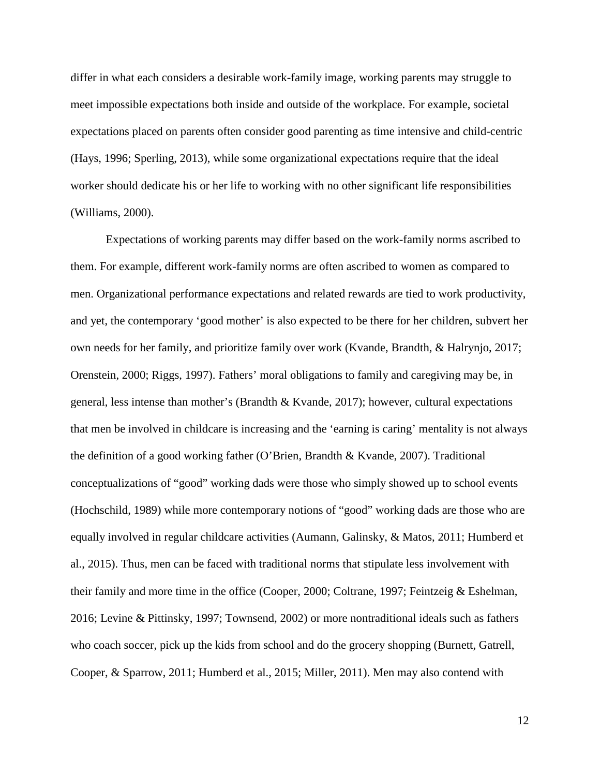differ in what each considers a desirable work-family image, working parents may struggle to meet impossible expectations both inside and outside of the workplace. For example, societal expectations placed on parents often consider good parenting as time intensive and child-centric (Hays, 1996; Sperling, 2013), while some organizational expectations require that the ideal worker should dedicate his or her life to working with no other significant life responsibilities (Williams, 2000).

Expectations of working parents may differ based on the work-family norms ascribed to them. For example, different work-family norms are often ascribed to women as compared to men. Organizational performance expectations and related rewards are tied to work productivity, and yet, the contemporary 'good mother' is also expected to be there for her children, subvert her own needs for her family, and prioritize family over work (Kvande, Brandth, & Halrynjo, 2017; Orenstein, 2000; Riggs, 1997). Fathers' moral obligations to family and caregiving may be, in general, less intense than mother's (Brandth & Kvande, 2017); however, cultural expectations that men be involved in childcare is increasing and the 'earning is caring' mentality is not always the definition of a good working father (O'Brien, Brandth & Kvande, 2007). Traditional conceptualizations of "good" working dads were those who simply showed up to school events (Hochschild, 1989) while more contemporary notions of "good" working dads are those who are equally involved in regular childcare activities (Aumann, Galinsky, & Matos, 2011; Humberd et al., 2015). Thus, men can be faced with traditional norms that stipulate less involvement with their family and more time in the office (Cooper, 2000; Coltrane, 1997; Feintzeig & Eshelman, 2016; Levine & Pittinsky, 1997; Townsend, 2002) or more nontraditional ideals such as fathers who coach soccer, pick up the kids from school and do the grocery shopping (Burnett, Gatrell, Cooper, & Sparrow, 2011; Humberd et al., 2015; Miller, 2011). Men may also contend with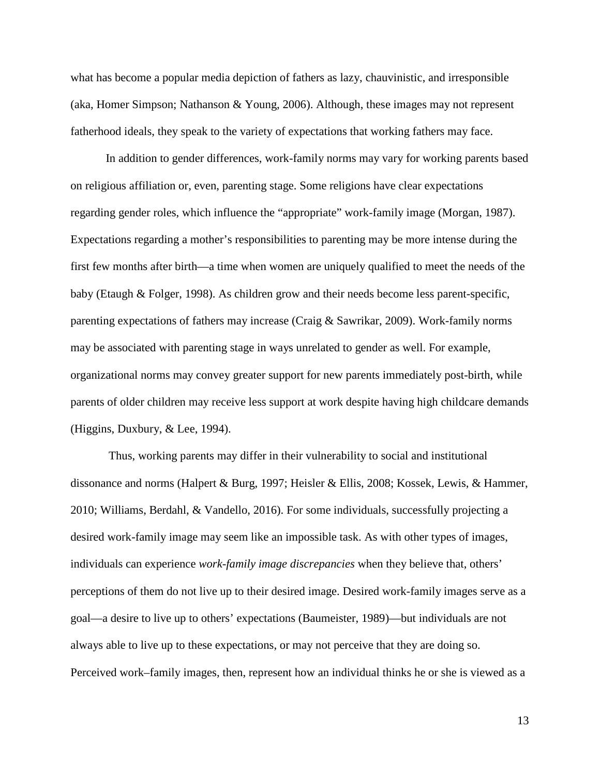what has become a popular media depiction of fathers as lazy, chauvinistic, and irresponsible (aka, Homer Simpson; Nathanson & Young, 2006). Although, these images may not represent fatherhood ideals, they speak to the variety of expectations that working fathers may face.

In addition to gender differences, work-family norms may vary for working parents based on religious affiliation or, even, parenting stage. Some religions have clear expectations regarding gender roles, which influence the "appropriate" work-family image (Morgan, 1987). Expectations regarding a mother's responsibilities to parenting may be more intense during the first few months after birth—a time when women are uniquely qualified to meet the needs of the baby (Etaugh & Folger, 1998). As children grow and their needs become less parent-specific, parenting expectations of fathers may increase (Craig & Sawrikar, 2009). Work-family norms may be associated with parenting stage in ways unrelated to gender as well. For example, organizational norms may convey greater support for new parents immediately post-birth, while parents of older children may receive less support at work despite having high childcare demands (Higgins, Duxbury, & Lee, 1994).

Thus, working parents may differ in their vulnerability to social and institutional dissonance and norms (Halpert & Burg, 1997; Heisler & Ellis, 2008; Kossek, Lewis, & Hammer, 2010; Williams, Berdahl, & Vandello, 2016). For some individuals, successfully projecting a desired work-family image may seem like an impossible task. As with other types of images, individuals can experience *work-family image discrepancies* when they believe that, others' perceptions of them do not live up to their desired image. Desired work-family images serve as a goal—a desire to live up to others' expectations (Baumeister, 1989)—but individuals are not always able to live up to these expectations, or may not perceive that they are doing so. Perceived work–family images, then, represent how an individual thinks he or she is viewed as a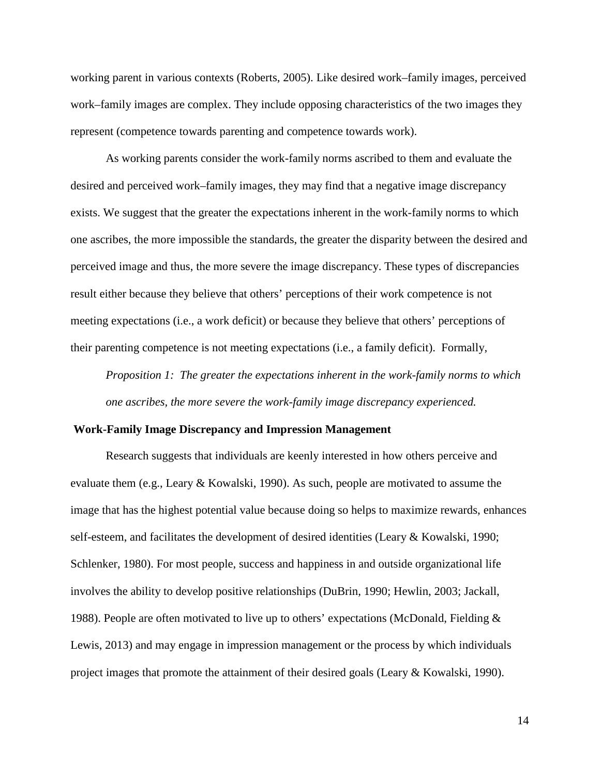working parent in various contexts (Roberts, 2005). Like desired work–family images, perceived work–family images are complex. They include opposing characteristics of the two images they represent (competence towards parenting and competence towards work).

As working parents consider the work-family norms ascribed to them and evaluate the desired and perceived work–family images, they may find that a negative image discrepancy exists. We suggest that the greater the expectations inherent in the work-family norms to which one ascribes, the more impossible the standards, the greater the disparity between the desired and perceived image and thus, the more severe the image discrepancy. These types of discrepancies result either because they believe that others' perceptions of their work competence is not meeting expectations (i.e., a work deficit) or because they believe that others' perceptions of their parenting competence is not meeting expectations (i.e., a family deficit). Formally,

*Proposition 1: The greater the expectations inherent in the work-family norms to which one ascribes, the more severe the work-family image discrepancy experienced.*

#### **Work-Family Image Discrepancy and Impression Management**

Research suggests that individuals are keenly interested in how others perceive and evaluate them (e.g., Leary & Kowalski, 1990). As such, people are motivated to assume the image that has the highest potential value because doing so helps to maximize rewards, enhances self-esteem, and facilitates the development of desired identities (Leary & Kowalski, 1990; Schlenker, 1980). For most people, success and happiness in and outside organizational life involves the ability to develop positive relationships (DuBrin, 1990; Hewlin, 2003; Jackall, 1988). People are often motivated to live up to others' expectations (McDonald, Fielding & Lewis, 2013) and may engage in impression management or the process by which individuals project images that promote the attainment of their desired goals (Leary & Kowalski, 1990).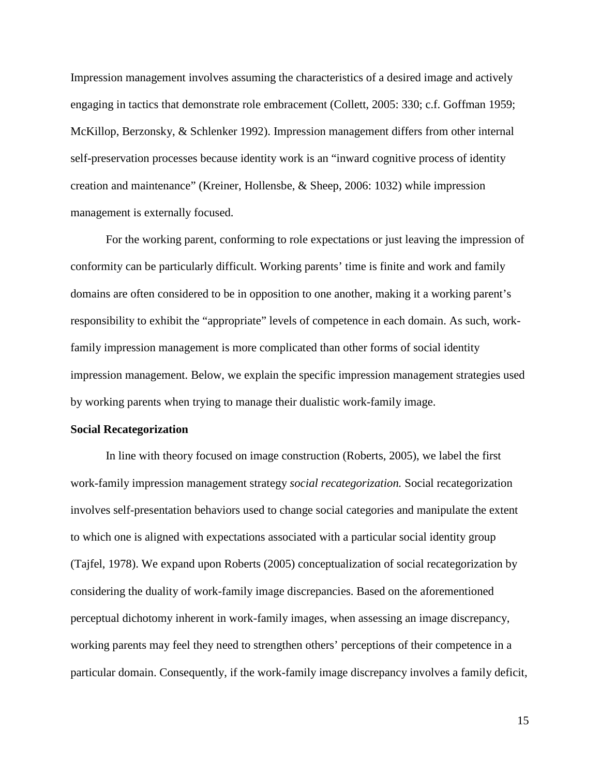Impression management involves assuming the characteristics of a desired image and actively engaging in tactics that demonstrate role embracement (Collett, 2005: 330; c.f. Goffman 1959; McKillop, Berzonsky, & Schlenker 1992). Impression management differs from other internal self-preservation processes because identity work is an "inward cognitive process of identity creation and maintenance" (Kreiner, Hollensbe, & Sheep, 2006: 1032) while impression management is externally focused.

For the working parent, conforming to role expectations or just leaving the impression of conformity can be particularly difficult. Working parents' time is finite and work and family domains are often considered to be in opposition to one another, making it a working parent's responsibility to exhibit the "appropriate" levels of competence in each domain. As such, workfamily impression management is more complicated than other forms of social identity impression management. Below, we explain the specific impression management strategies used by working parents when trying to manage their dualistic work-family image.

#### **Social Recategorization**

In line with theory focused on image construction (Roberts, 2005), we label the first work-family impression management strategy *social recategorization.* Social recategorization involves self-presentation behaviors used to change social categories and manipulate the extent to which one is aligned with expectations associated with a particular social identity group (Tajfel, 1978). We expand upon Roberts (2005) conceptualization of social recategorization by considering the duality of work-family image discrepancies. Based on the aforementioned perceptual dichotomy inherent in work-family images, when assessing an image discrepancy, working parents may feel they need to strengthen others' perceptions of their competence in a particular domain. Consequently, if the work-family image discrepancy involves a family deficit,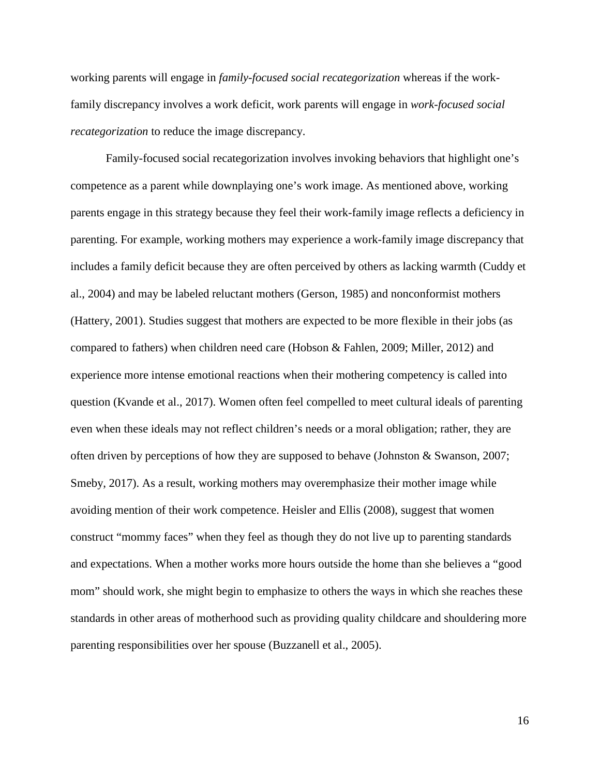working parents will engage in *family-focused social recategorization* whereas if the workfamily discrepancy involves a work deficit, work parents will engage in *work-focused social recategorization* to reduce the image discrepancy.

Family-focused social recategorization involves invoking behaviors that highlight one's competence as a parent while downplaying one's work image. As mentioned above, working parents engage in this strategy because they feel their work-family image reflects a deficiency in parenting. For example, working mothers may experience a work-family image discrepancy that includes a family deficit because they are often perceived by others as lacking warmth (Cuddy et al., 2004) and may be labeled reluctant mothers (Gerson, 1985) and nonconformist mothers (Hattery, 2001). Studies suggest that mothers are expected to be more flexible in their jobs (as compared to fathers) when children need care (Hobson & Fahlen, 2009; Miller, 2012) and experience more intense emotional reactions when their mothering competency is called into question (Kvande et al., 2017). Women often feel compelled to meet cultural ideals of parenting even when these ideals may not reflect children's needs or a moral obligation; rather, they are often driven by perceptions of how they are supposed to behave (Johnston & Swanson, 2007; Smeby, 2017). As a result, working mothers may overemphasize their mother image while avoiding mention of their work competence. Heisler and Ellis (2008), suggest that women construct "mommy faces" when they feel as though they do not live up to parenting standards and expectations. When a mother works more hours outside the home than she believes a "good mom" should work, she might begin to emphasize to others the ways in which she reaches these standards in other areas of motherhood such as providing quality childcare and shouldering more parenting responsibilities over her spouse (Buzzanell et al., 2005).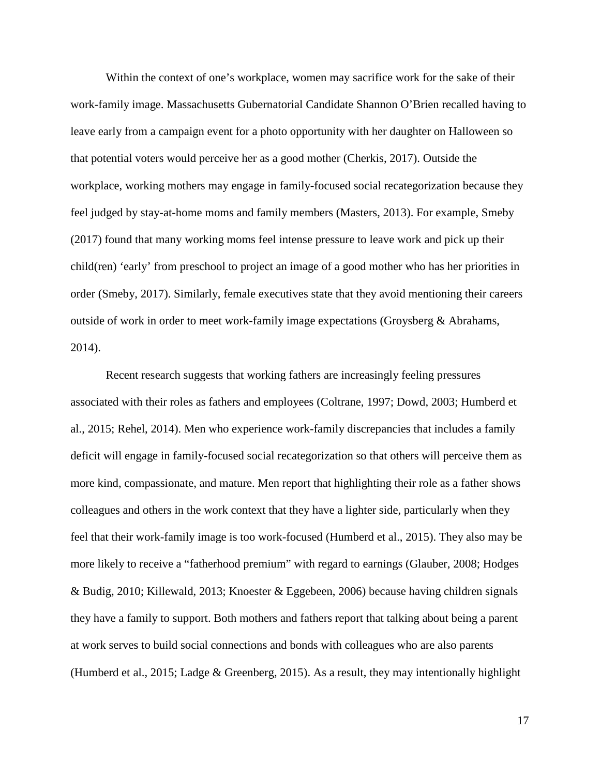Within the context of one's workplace, women may sacrifice work for the sake of their work-family image. Massachusetts Gubernatorial Candidate Shannon O'Brien recalled having to leave early from a campaign event for a photo opportunity with her daughter on Halloween so that potential voters would perceive her as a good mother (Cherkis, 2017). Outside the workplace, working mothers may engage in family-focused social recategorization because they feel judged by stay-at-home moms and family members (Masters, 2013). For example, Smeby (2017) found that many working moms feel intense pressure to leave work and pick up their child(ren) 'early' from preschool to project an image of a good mother who has her priorities in order (Smeby, 2017). Similarly, female executives state that they avoid mentioning their careers outside of work in order to meet work-family image expectations (Groysberg  $\&$  Abrahams, 2014).

Recent research suggests that working fathers are increasingly feeling pressures associated with their roles as fathers and employees (Coltrane, 1997; Dowd, 2003; Humberd et al., 2015; Rehel, 2014). Men who experience work-family discrepancies that includes a family deficit will engage in family-focused social recategorization so that others will perceive them as more kind, compassionate, and mature. Men report that highlighting their role as a father shows colleagues and others in the work context that they have a lighter side, particularly when they feel that their work-family image is too work-focused (Humberd et al., 2015). They also may be more likely to receive a "fatherhood premium" with regard to earnings (Glauber, 2008; Hodges & Budig, 2010; Killewald, 2013; Knoester & Eggebeen, 2006) because having children signals they have a family to support. Both mothers and fathers report that talking about being a parent at work serves to build social connections and bonds with colleagues who are also parents (Humberd et al., 2015; Ladge & Greenberg, 2015). As a result, they may intentionally highlight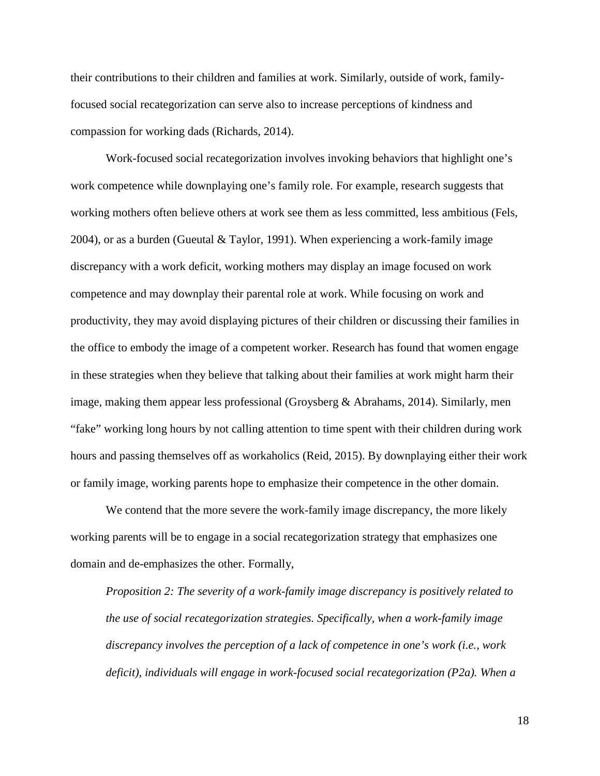their contributions to their children and families at work. Similarly, outside of work, familyfocused social recategorization can serve also to increase perceptions of kindness and compassion for working dads (Richards, 2014).

Work-focused social recategorization involves invoking behaviors that highlight one's work competence while downplaying one's family role. For example, research suggests that working mothers often believe others at work see them as less committed, less ambitious (Fels, 2004), or as a burden (Gueutal & Taylor, 1991). When experiencing a work-family image discrepancy with a work deficit, working mothers may display an image focused on work competence and may downplay their parental role at work. While focusing on work and productivity, they may avoid displaying pictures of their children or discussing their families in the office to embody the image of a competent worker. Research has found that women engage in these strategies when they believe that talking about their families at work might harm their image, making them appear less professional (Groysberg & Abrahams, 2014). Similarly, men "fake" working long hours by not calling attention to time spent with their children during work hours and passing themselves off as workaholics (Reid, 2015). By downplaying either their work or family image, working parents hope to emphasize their competence in the other domain.

We contend that the more severe the work-family image discrepancy, the more likely working parents will be to engage in a social recategorization strategy that emphasizes one domain and de-emphasizes the other. Formally,

*Proposition 2: The severity of a work-family image discrepancy is positively related to the use of social recategorization strategies. Specifically, when a work-family image discrepancy involves the perception of a lack of competence in one's work (i.e., work deficit), individuals will engage in work-focused social recategorization (P2a). When a*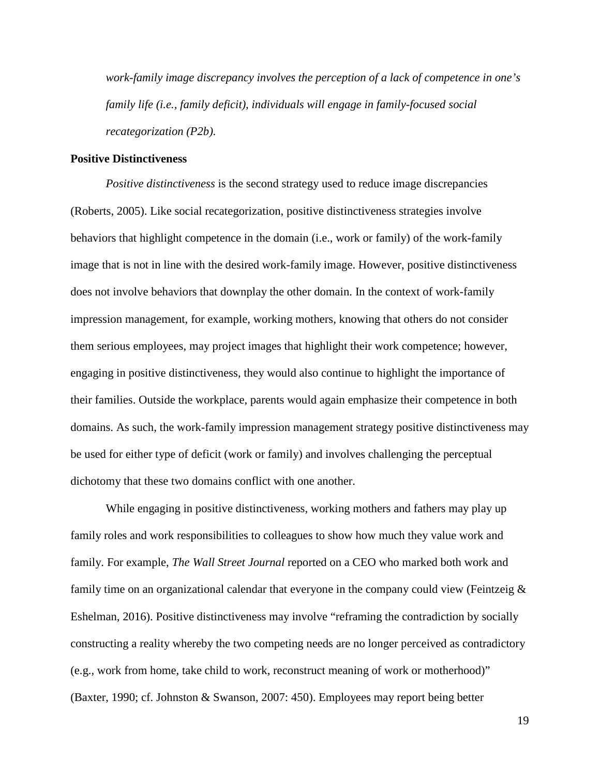*work-family image discrepancy involves the perception of a lack of competence in one's family life (i.e., family deficit), individuals will engage in family-focused social recategorization (P2b).* 

## **Positive Distinctiveness**

*Positive distinctiveness* is the second strategy used to reduce image discrepancies (Roberts, 2005). Like social recategorization, positive distinctiveness strategies involve behaviors that highlight competence in the domain (i.e., work or family) of the work-family image that is not in line with the desired work-family image. However, positive distinctiveness does not involve behaviors that downplay the other domain. In the context of work-family impression management, for example, working mothers, knowing that others do not consider them serious employees, may project images that highlight their work competence; however, engaging in positive distinctiveness, they would also continue to highlight the importance of their families. Outside the workplace, parents would again emphasize their competence in both domains. As such, the work-family impression management strategy positive distinctiveness may be used for either type of deficit (work or family) and involves challenging the perceptual dichotomy that these two domains conflict with one another.

While engaging in positive distinctiveness, working mothers and fathers may play up family roles and work responsibilities to colleagues to show how much they value work and family. For example, *The Wall Street Journal* reported on a CEO who marked both work and family time on an organizational calendar that everyone in the company could view (Feintzeig & Eshelman, 2016). Positive distinctiveness may involve "reframing the contradiction by socially constructing a reality whereby the two competing needs are no longer perceived as contradictory (e.g., work from home, take child to work, reconstruct meaning of work or motherhood)" (Baxter, 1990; cf. Johnston & Swanson, 2007: 450). Employees may report being better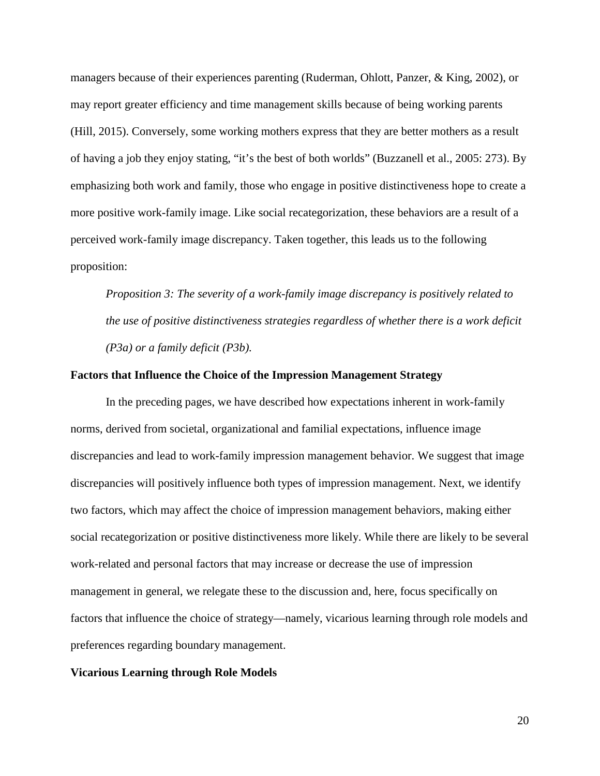managers because of their experiences parenting (Ruderman, Ohlott, Panzer, & King, 2002), or may report greater efficiency and time management skills because of being working parents (Hill, 2015). Conversely, some working mothers express that they are better mothers as a result of having a job they enjoy stating, "it's the best of both worlds" (Buzzanell et al., 2005: 273). By emphasizing both work and family, those who engage in positive distinctiveness hope to create a more positive work-family image. Like social recategorization, these behaviors are a result of a perceived work-family image discrepancy. Taken together, this leads us to the following proposition:

*Proposition 3: The severity of a work-family image discrepancy is positively related to the use of positive distinctiveness strategies regardless of whether there is a work deficit (P3a) or a family deficit (P3b).*

### **Factors that Influence the Choice of the Impression Management Strategy**

In the preceding pages, we have described how expectations inherent in work-family norms, derived from societal, organizational and familial expectations, influence image discrepancies and lead to work-family impression management behavior. We suggest that image discrepancies will positively influence both types of impression management. Next, we identify two factors, which may affect the choice of impression management behaviors, making either social recategorization or positive distinctiveness more likely. While there are likely to be several work-related and personal factors that may increase or decrease the use of impression management in general, we relegate these to the discussion and, here, focus specifically on factors that influence the choice of strategy—namely, vicarious learning through role models and preferences regarding boundary management.

#### **Vicarious Learning through Role Models**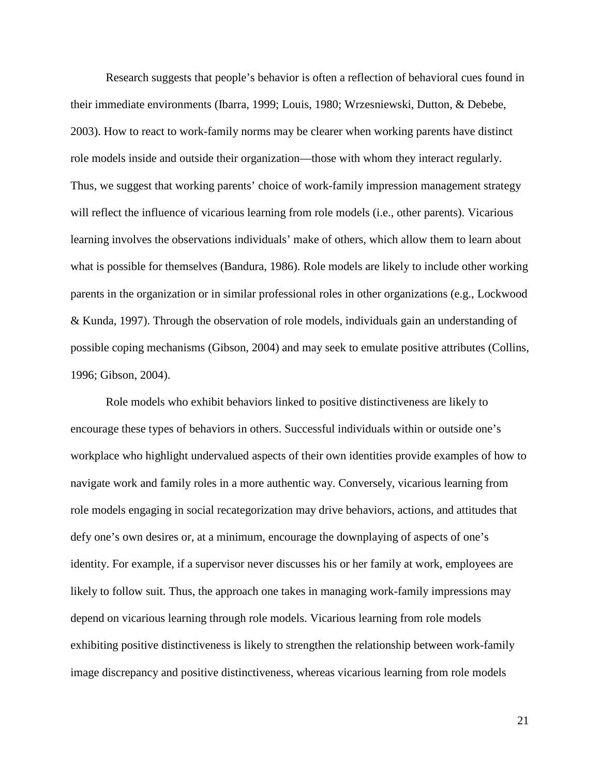Research suggests that people's behavior is often a reflection of behavioral cues found in their immediate environments (Ibarra, 1999; Louis, 1980; Wrzesniewski, Dutton, & Debebe, 2003). How to react to work-family norms may be clearer when working parents have distinct role models inside and outside their organization—those with whom they interact regularly. Thus, we suggest that working parents' choice of work-family impression management strategy will reflect the influence of vicarious learning from role models (i.e., other parents). Vicarious learning involves the observations individuals' make of others, which allow them to learn about what is possible for themselves (Bandura, 1986). Role models are likely to include other working parents in the organization or in similar professional roles in other organizations (e.g., Lockwood & Kunda, 1997). Through the observation of role models, individuals gain an understanding of possible coping mechanisms (Gibson, 2004) and may seek to emulate positive attributes (Collins, 1996; Gibson, 2004).

Role models who exhibit behaviors linked to positive distinctiveness are likely to encourage these types of behaviors in others. Successful individuals within or outside one's workplace who highlight undervalued aspects of their own identities provide examples of how to navigate work and family roles in a more authentic way. Conversely, vicarious learning from role models engaging in social recategorization may drive behaviors, actions, and attitudes that defy one's own desires or, at a minimum, encourage the downplaying of aspects of one's identity. For example, if a supervisor never discusses his or her family at work, employees are likely to follow suit. Thus, the approach one takes in managing work-family impressions may depend on vicarious learning through role models. Vicarious learning from role models exhibiting positive distinctiveness is likely to strengthen the relationship between work-family image discrepancy and positive distinctiveness, whereas vicarious learning from role models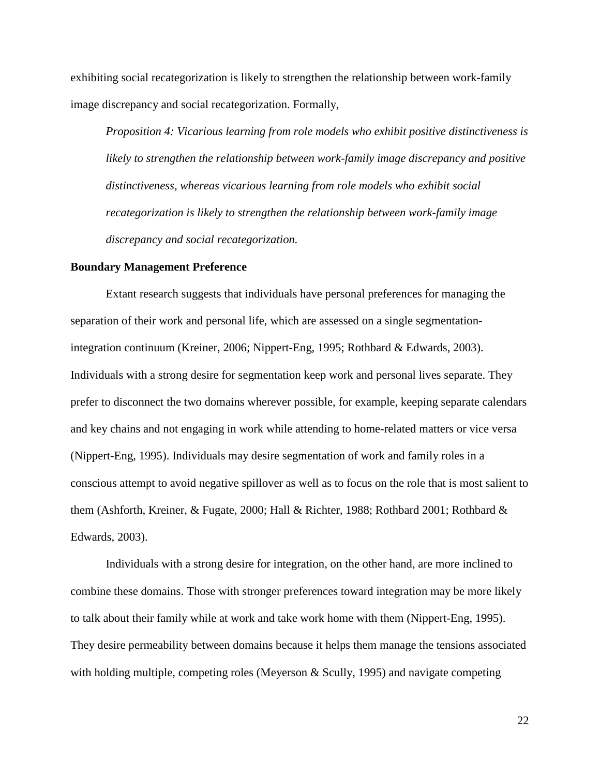exhibiting social recategorization is likely to strengthen the relationship between work-family image discrepancy and social recategorization. Formally,

*Proposition 4: Vicarious learning from role models who exhibit positive distinctiveness is likely to strengthen the relationship between work-family image discrepancy and positive distinctiveness, whereas vicarious learning from role models who exhibit social recategorization is likely to strengthen the relationship between work-family image discrepancy and social recategorization.*

#### **Boundary Management Preference**

Extant research suggests that individuals have personal preferences for managing the separation of their work and personal life, which are assessed on a single segmentationintegration continuum (Kreiner, 2006; Nippert-Eng, 1995; Rothbard & Edwards, 2003). Individuals with a strong desire for segmentation keep work and personal lives separate. They prefer to disconnect the two domains wherever possible, for example, keeping separate calendars and key chains and not engaging in work while attending to home-related matters or vice versa (Nippert-Eng, 1995). Individuals may desire segmentation of work and family roles in a conscious attempt to avoid negative spillover as well as to focus on the role that is most salient to them (Ashforth, Kreiner, & Fugate, 2000; Hall & Richter, 1988; Rothbard 2001; Rothbard & Edwards, 2003).

Individuals with a strong desire for integration, on the other hand, are more inclined to combine these domains. Those with stronger preferences toward integration may be more likely to talk about their family while at work and take work home with them (Nippert-Eng, 1995). They desire permeability between domains because it helps them manage the tensions associated with holding multiple, competing roles (Meyerson  $\&$  Scully, 1995) and navigate competing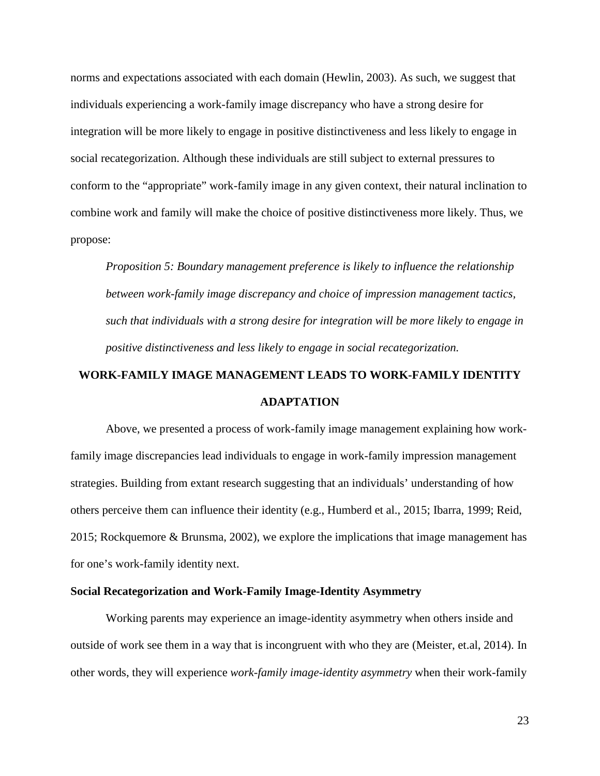norms and expectations associated with each domain (Hewlin, 2003). As such, we suggest that individuals experiencing a work-family image discrepancy who have a strong desire for integration will be more likely to engage in positive distinctiveness and less likely to engage in social recategorization. Although these individuals are still subject to external pressures to conform to the "appropriate" work-family image in any given context, their natural inclination to combine work and family will make the choice of positive distinctiveness more likely. Thus, we propose:

*Proposition 5: Boundary management preference is likely to influence the relationship between work-family image discrepancy and choice of impression management tactics, such that individuals with a strong desire for integration will be more likely to engage in positive distinctiveness and less likely to engage in social recategorization.*

## **WORK-FAMILY IMAGE MANAGEMENT LEADS TO WORK-FAMILY IDENTITY ADAPTATION**

Above, we presented a process of work-family image management explaining how workfamily image discrepancies lead individuals to engage in work-family impression management strategies. Building from extant research suggesting that an individuals' understanding of how others perceive them can influence their identity (e.g., Humberd et al., 2015; Ibarra, 1999; Reid, 2015; Rockquemore & Brunsma, 2002), we explore the implications that image management has for one's work-family identity next.

## **Social Recategorization and Work-Family Image-Identity Asymmetry**

Working parents may experience an image-identity asymmetry when others inside and outside of work see them in a way that is incongruent with who they are (Meister, et.al, 2014). In other words, they will experience *work-family image-identity asymmetry* when their work-family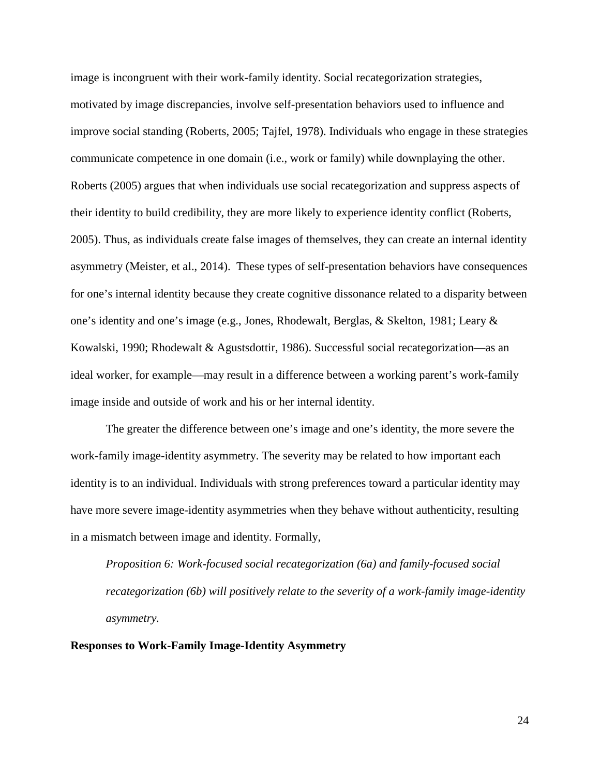image is incongruent with their work-family identity. Social recategorization strategies, motivated by image discrepancies, involve self-presentation behaviors used to influence and improve social standing (Roberts, 2005; Tajfel, 1978). Individuals who engage in these strategies communicate competence in one domain (i.e., work or family) while downplaying the other. Roberts (2005) argues that when individuals use social recategorization and suppress aspects of their identity to build credibility, they are more likely to experience identity conflict (Roberts, 2005). Thus, as individuals create false images of themselves, they can create an internal identity asymmetry (Meister, et al., 2014). These types of self-presentation behaviors have consequences for one's internal identity because they create cognitive dissonance related to a disparity between one's identity and one's image (e.g., Jones, Rhodewalt, Berglas, & Skelton, 1981; Leary & Kowalski, 1990; Rhodewalt & Agustsdottir, 1986). Successful social recategorization—as an ideal worker, for example—may result in a difference between a working parent's work-family image inside and outside of work and his or her internal identity.

The greater the difference between one's image and one's identity, the more severe the work-family image-identity asymmetry. The severity may be related to how important each identity is to an individual. Individuals with strong preferences toward a particular identity may have more severe image-identity asymmetries when they behave without authenticity, resulting in a mismatch between image and identity. Formally,

*Proposition 6: Work-focused social recategorization (6a) and family-focused social recategorization (6b) will positively relate to the severity of a work-family image-identity asymmetry.*

## **Responses to Work-Family Image-Identity Asymmetry**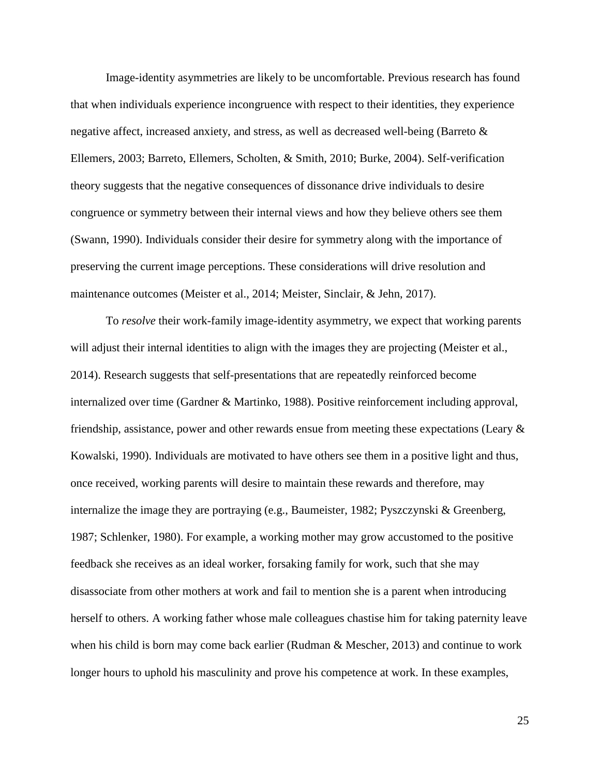Image-identity asymmetries are likely to be uncomfortable. Previous research has found that when individuals experience incongruence with respect to their identities, they experience negative affect, increased anxiety, and stress, as well as decreased well-being (Barreto & Ellemers, 2003; Barreto, Ellemers, Scholten, & Smith, 2010; Burke, 2004). Self-verification theory suggests that the negative consequences of dissonance drive individuals to desire congruence or symmetry between their internal views and how they believe others see them (Swann, 1990). Individuals consider their desire for symmetry along with the importance of preserving the current image perceptions. These considerations will drive resolution and maintenance outcomes (Meister et al., 2014; Meister, Sinclair, & Jehn, 2017).

To *resolve* their work-family image-identity asymmetry, we expect that working parents will adjust their internal identities to align with the images they are projecting (Meister et al., 2014). Research suggests that self-presentations that are repeatedly reinforced become internalized over time (Gardner & Martinko, 1988). Positive reinforcement including approval, friendship, assistance, power and other rewards ensue from meeting these expectations (Leary & Kowalski, 1990). Individuals are motivated to have others see them in a positive light and thus, once received, working parents will desire to maintain these rewards and therefore, may internalize the image they are portraying (e.g., Baumeister, 1982; Pyszczynski & Greenberg, 1987; Schlenker, 1980). For example, a working mother may grow accustomed to the positive feedback she receives as an ideal worker, forsaking family for work, such that she may disassociate from other mothers at work and fail to mention she is a parent when introducing herself to others. A working father whose male colleagues chastise him for taking paternity leave when his child is born may come back earlier (Rudman & Mescher, 2013) and continue to work longer hours to uphold his masculinity and prove his competence at work. In these examples,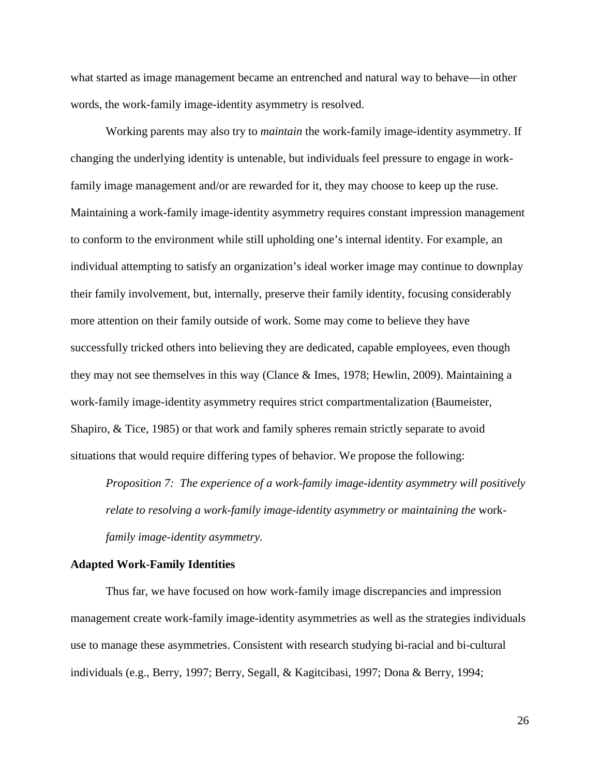what started as image management became an entrenched and natural way to behave—in other words, the work-family image-identity asymmetry is resolved.

Working parents may also try to *maintain* the work-family image-identity asymmetry. If changing the underlying identity is untenable, but individuals feel pressure to engage in workfamily image management and/or are rewarded for it, they may choose to keep up the ruse. Maintaining a work-family image-identity asymmetry requires constant impression management to conform to the environment while still upholding one's internal identity. For example, an individual attempting to satisfy an organization's ideal worker image may continue to downplay their family involvement, but, internally, preserve their family identity, focusing considerably more attention on their family outside of work. Some may come to believe they have successfully tricked others into believing they are dedicated, capable employees, even though they may not see themselves in this way (Clance & Imes, 1978; Hewlin, 2009). Maintaining a work-family image-identity asymmetry requires strict compartmentalization (Baumeister, Shapiro, & Tice, 1985) or that work and family spheres remain strictly separate to avoid situations that would require differing types of behavior. We propose the following:

*Proposition 7: The experience of a work-family image-identity asymmetry will positively relate to resolving a work-family image-identity asymmetry or maintaining the* work*family image-identity asymmetry.*

#### **Adapted Work-Family Identities**

Thus far, we have focused on how work-family image discrepancies and impression management create work-family image-identity asymmetries as well as the strategies individuals use to manage these asymmetries. Consistent with research studying bi-racial and bi-cultural individuals (e.g., Berry, 1997; Berry, Segall, & Kagitcibasi, 1997; Dona & Berry, 1994;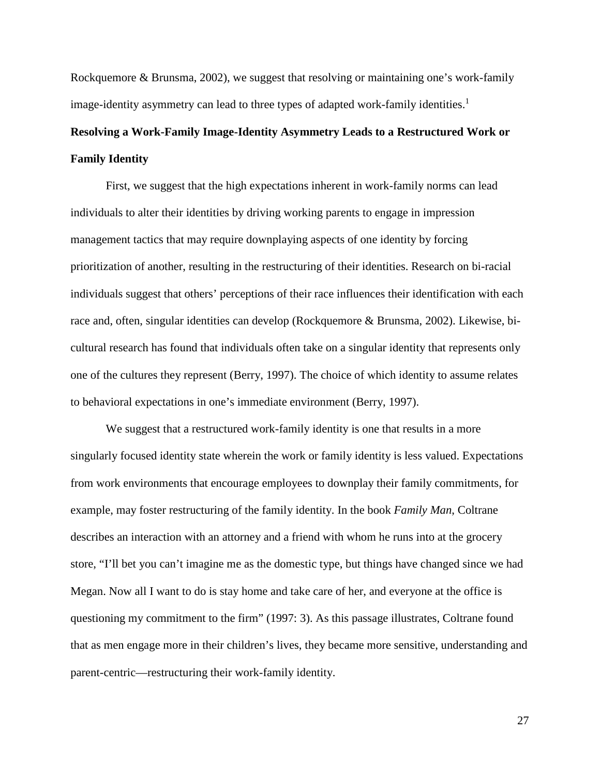Rockquemore & Brunsma, 2002), we suggest that resolving or maintaining one's work-family image-identity asymmetry can lead to three types of adapted work-family identities.<sup>1</sup>

## **Resolving a Work-Family Image-Identity Asymmetry Leads to a Restructured Work or Family Identity**

First, we suggest that the high expectations inherent in work-family norms can lead individuals to alter their identities by driving working parents to engage in impression management tactics that may require downplaying aspects of one identity by forcing prioritization of another, resulting in the restructuring of their identities. Research on bi-racial individuals suggest that others' perceptions of their race influences their identification with each race and, often, singular identities can develop (Rockquemore & Brunsma, 2002). Likewise, bicultural research has found that individuals often take on a singular identity that represents only one of the cultures they represent (Berry, 1997). The choice of which identity to assume relates to behavioral expectations in one's immediate environment (Berry, 1997).

We suggest that a restructured work-family identity is one that results in a more singularly focused identity state wherein the work or family identity is less valued. Expectations from work environments that encourage employees to downplay their family commitments, for example, may foster restructuring of the family identity. In the book *Family Man*, Coltrane describes an interaction with an attorney and a friend with whom he runs into at the grocery store, "I'll bet you can't imagine me as the domestic type, but things have changed since we had Megan. Now all I want to do is stay home and take care of her, and everyone at the office is questioning my commitment to the firm" (1997: 3). As this passage illustrates, Coltrane found that as men engage more in their children's lives, they became more sensitive, understanding and parent-centric—restructuring their work-family identity.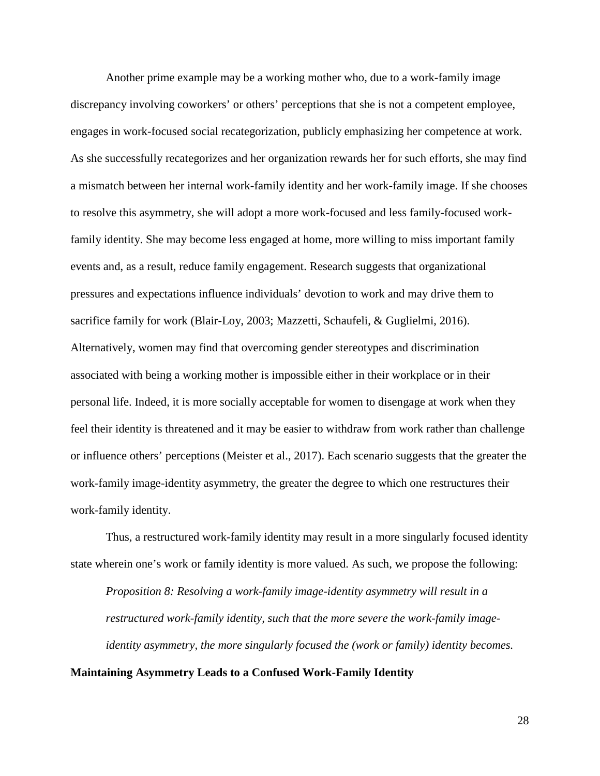Another prime example may be a working mother who, due to a work-family image discrepancy involving coworkers' or others' perceptions that she is not a competent employee, engages in work-focused social recategorization, publicly emphasizing her competence at work. As she successfully recategorizes and her organization rewards her for such efforts, she may find a mismatch between her internal work-family identity and her work-family image. If she chooses to resolve this asymmetry, she will adopt a more work-focused and less family-focused workfamily identity. She may become less engaged at home, more willing to miss important family events and, as a result, reduce family engagement. Research suggests that organizational pressures and expectations influence individuals' devotion to work and may drive them to sacrifice family for work (Blair-Loy, 2003; Mazzetti, Schaufeli, & Guglielmi, 2016). Alternatively, women may find that overcoming gender stereotypes and discrimination associated with being a working mother is impossible either in their workplace or in their personal life. Indeed, it is more socially acceptable for women to disengage at work when they feel their identity is threatened and it may be easier to withdraw from work rather than challenge or influence others' perceptions (Meister et al., 2017). Each scenario suggests that the greater the work-family image-identity asymmetry, the greater the degree to which one restructures their work-family identity.

Thus, a restructured work-family identity may result in a more singularly focused identity state wherein one's work or family identity is more valued. As such, we propose the following:

*Proposition 8: Resolving a work-family image-identity asymmetry will result in a restructured work-family identity, such that the more severe the work-family imageidentity asymmetry, the more singularly focused the (work or family) identity becomes.*

### **Maintaining Asymmetry Leads to a Confused Work-Family Identity**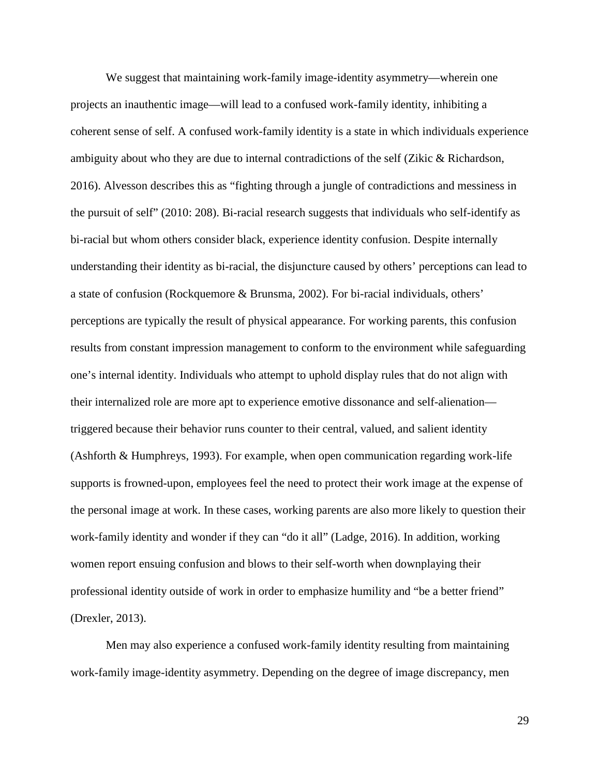We suggest that maintaining work-family image-identity asymmetry—wherein one projects an inauthentic image—will lead to a confused work-family identity, inhibiting a coherent sense of self. A confused work-family identity is a state in which individuals experience ambiguity about who they are due to internal contradictions of the self (Zikic & Richardson, 2016). Alvesson describes this as "fighting through a jungle of contradictions and messiness in the pursuit of self" (2010: 208). Bi-racial research suggests that individuals who self-identify as bi-racial but whom others consider black, experience identity confusion. Despite internally understanding their identity as bi-racial, the disjuncture caused by others' perceptions can lead to a state of confusion (Rockquemore & Brunsma, 2002). For bi-racial individuals, others' perceptions are typically the result of physical appearance. For working parents, this confusion results from constant impression management to conform to the environment while safeguarding one's internal identity. Individuals who attempt to uphold display rules that do not align with their internalized role are more apt to experience emotive dissonance and self-alienation triggered because their behavior runs counter to their central, valued, and salient identity (Ashforth & Humphreys, 1993). For example, when open communication regarding work-life supports is frowned-upon, employees feel the need to protect their work image at the expense of the personal image at work. In these cases, working parents are also more likely to question their work-family identity and wonder if they can "do it all" (Ladge, 2016). In addition, working women report ensuing confusion and blows to their self-worth when downplaying their professional identity outside of work in order to emphasize humility and "be a better friend" (Drexler, 2013).

Men may also experience a confused work-family identity resulting from maintaining work-family image-identity asymmetry. Depending on the degree of image discrepancy, men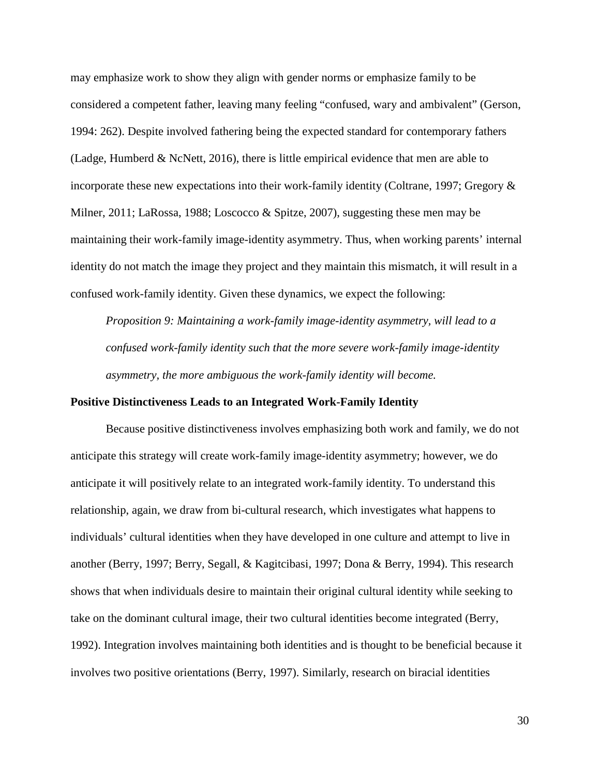may emphasize work to show they align with gender norms or emphasize family to be considered a competent father, leaving many feeling "confused, wary and ambivalent" (Gerson, 1994: 262). Despite involved fathering being the expected standard for contemporary fathers (Ladge, Humberd & NcNett, 2016), there is little empirical evidence that men are able to incorporate these new expectations into their work-family identity (Coltrane, 1997; Gregory & Milner, 2011; LaRossa, 1988; Loscocco & Spitze, 2007), suggesting these men may be maintaining their work-family image-identity asymmetry. Thus, when working parents' internal identity do not match the image they project and they maintain this mismatch, it will result in a confused work-family identity. Given these dynamics, we expect the following:

*Proposition 9: Maintaining a work-family image-identity asymmetry, will lead to a confused work-family identity such that the more severe work-family image-identity asymmetry, the more ambiguous the work-family identity will become.*

## **Positive Distinctiveness Leads to an Integrated Work-Family Identity**

Because positive distinctiveness involves emphasizing both work and family, we do not anticipate this strategy will create work-family image-identity asymmetry; however, we do anticipate it will positively relate to an integrated work-family identity. To understand this relationship, again, we draw from bi-cultural research, which investigates what happens to individuals' cultural identities when they have developed in one culture and attempt to live in another (Berry, 1997; Berry, Segall, & Kagitcibasi, 1997; Dona & Berry, 1994). This research shows that when individuals desire to maintain their original cultural identity while seeking to take on the dominant cultural image, their two cultural identities become integrated (Berry, 1992). Integration involves maintaining both identities and is thought to be beneficial because it involves two positive orientations (Berry, 1997). Similarly, research on biracial identities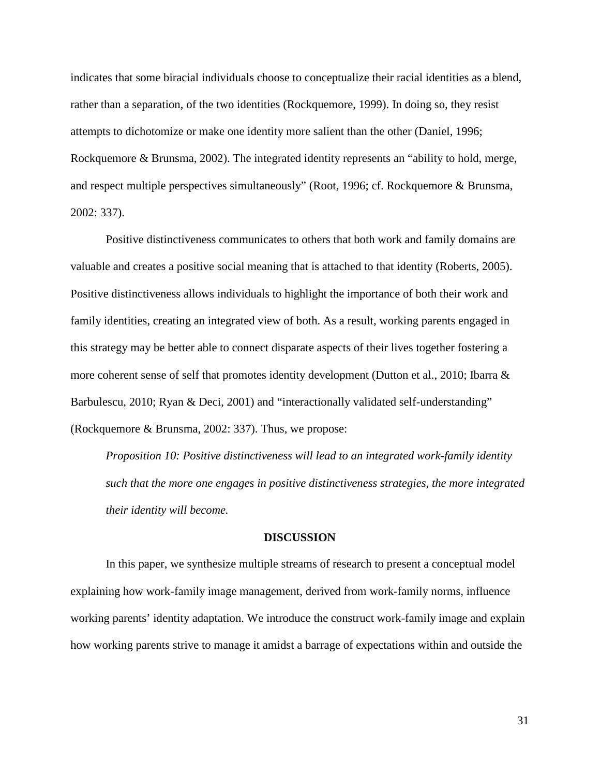indicates that some biracial individuals choose to conceptualize their racial identities as a blend, rather than a separation, of the two identities (Rockquemore, 1999). In doing so, they resist attempts to dichotomize or make one identity more salient than the other (Daniel, 1996; Rockquemore & Brunsma, 2002). The integrated identity represents an "ability to hold, merge, and respect multiple perspectives simultaneously" (Root, 1996; cf. Rockquemore & Brunsma, 2002: 337).

Positive distinctiveness communicates to others that both work and family domains are valuable and creates a positive social meaning that is attached to that identity (Roberts, 2005). Positive distinctiveness allows individuals to highlight the importance of both their work and family identities, creating an integrated view of both. As a result, working parents engaged in this strategy may be better able to connect disparate aspects of their lives together fostering a more coherent sense of self that promotes identity development (Dutton et al., 2010; Ibarra & Barbulescu, 2010; Ryan & Deci, 2001) and "interactionally validated self-understanding" (Rockquemore & Brunsma, 2002: 337). Thus, we propose:

*Proposition 10: Positive distinctiveness will lead to an integrated work-family identity such that the more one engages in positive distinctiveness strategies, the more integrated their identity will become.*

## **DISCUSSION**

In this paper, we synthesize multiple streams of research to present a conceptual model explaining how work-family image management, derived from work-family norms, influence working parents' identity adaptation. We introduce the construct work-family image and explain how working parents strive to manage it amidst a barrage of expectations within and outside the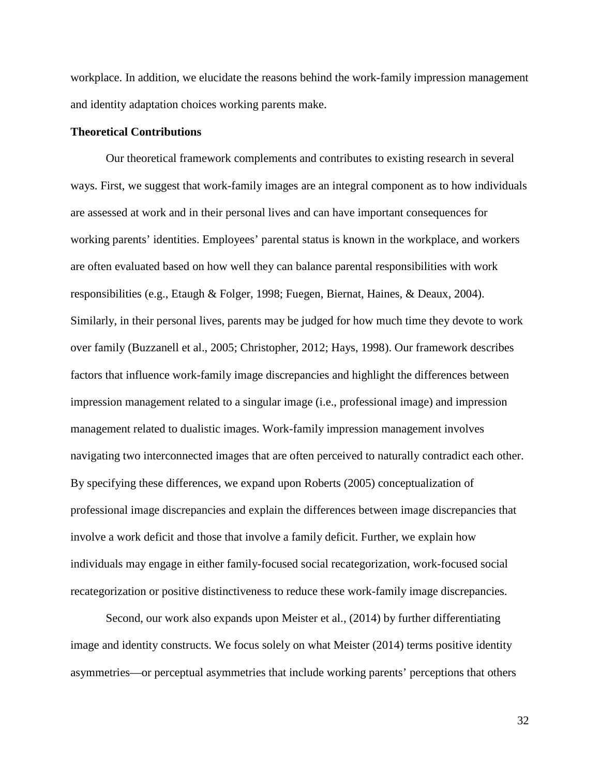workplace. In addition, we elucidate the reasons behind the work-family impression management and identity adaptation choices working parents make.

## **Theoretical Contributions**

Our theoretical framework complements and contributes to existing research in several ways. First, we suggest that work-family images are an integral component as to how individuals are assessed at work and in their personal lives and can have important consequences for working parents' identities. Employees' parental status is known in the workplace, and workers are often evaluated based on how well they can balance parental responsibilities with work responsibilities (e.g., Etaugh & Folger, 1998; Fuegen, Biernat, Haines, & Deaux, 2004). Similarly, in their personal lives, parents may be judged for how much time they devote to work over family (Buzzanell et al., 2005; Christopher, 2012; Hays, 1998). Our framework describes factors that influence work-family image discrepancies and highlight the differences between impression management related to a singular image (i.e., professional image) and impression management related to dualistic images. Work-family impression management involves navigating two interconnected images that are often perceived to naturally contradict each other. By specifying these differences, we expand upon Roberts (2005) conceptualization of professional image discrepancies and explain the differences between image discrepancies that involve a work deficit and those that involve a family deficit. Further, we explain how individuals may engage in either family-focused social recategorization, work-focused social recategorization or positive distinctiveness to reduce these work-family image discrepancies.

Second, our work also expands upon Meister et al., (2014) by further differentiating image and identity constructs. We focus solely on what Meister (2014) terms positive identity asymmetries—or perceptual asymmetries that include working parents' perceptions that others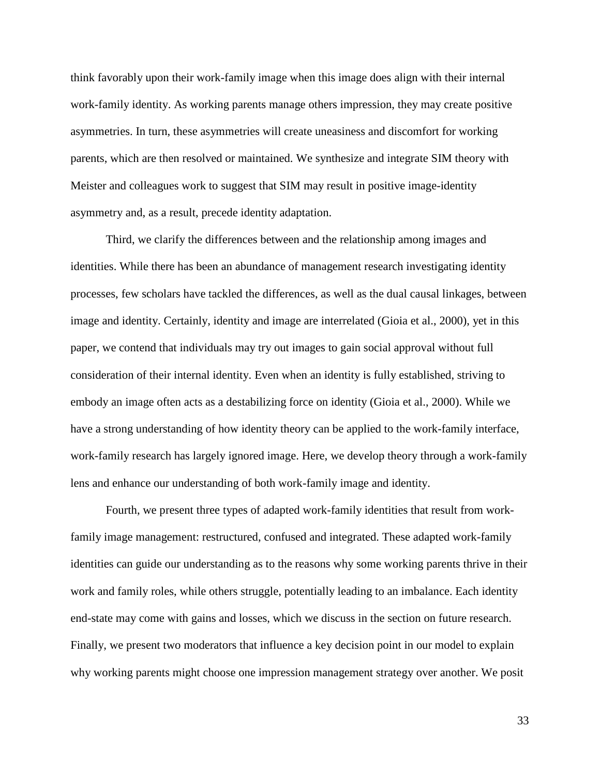think favorably upon their work-family image when this image does align with their internal work-family identity. As working parents manage others impression, they may create positive asymmetries. In turn, these asymmetries will create uneasiness and discomfort for working parents, which are then resolved or maintained. We synthesize and integrate SIM theory with Meister and colleagues work to suggest that SIM may result in positive image-identity asymmetry and, as a result, precede identity adaptation.

Third, we clarify the differences between and the relationship among images and identities. While there has been an abundance of management research investigating identity processes, few scholars have tackled the differences, as well as the dual causal linkages, between image and identity. Certainly, identity and image are interrelated (Gioia et al., 2000), yet in this paper, we contend that individuals may try out images to gain social approval without full consideration of their internal identity. Even when an identity is fully established, striving to embody an image often acts as a destabilizing force on identity (Gioia et al., 2000). While we have a strong understanding of how identity theory can be applied to the work-family interface, work-family research has largely ignored image. Here, we develop theory through a work-family lens and enhance our understanding of both work-family image and identity.

Fourth, we present three types of adapted work-family identities that result from workfamily image management: restructured, confused and integrated. These adapted work-family identities can guide our understanding as to the reasons why some working parents thrive in their work and family roles, while others struggle, potentially leading to an imbalance. Each identity end-state may come with gains and losses, which we discuss in the section on future research. Finally, we present two moderators that influence a key decision point in our model to explain why working parents might choose one impression management strategy over another. We posit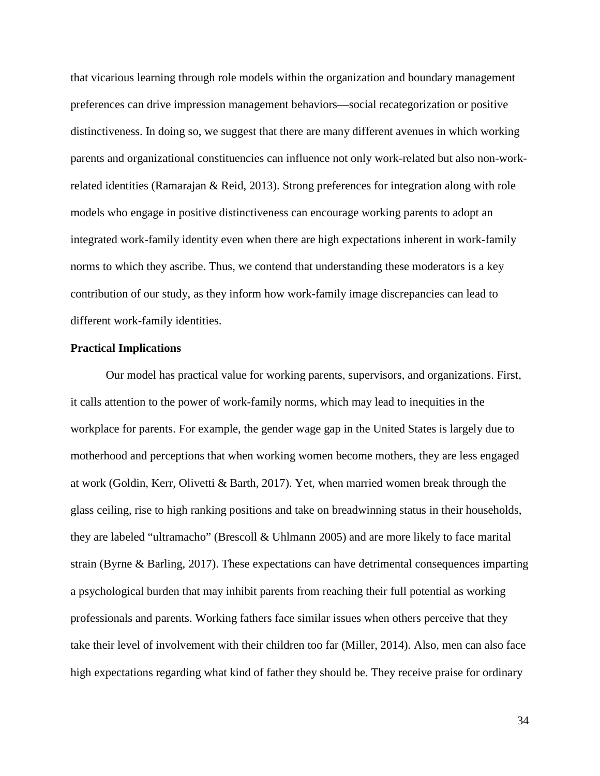that vicarious learning through role models within the organization and boundary management preferences can drive impression management behaviors—social recategorization or positive distinctiveness. In doing so, we suggest that there are many different avenues in which working parents and organizational constituencies can influence not only work-related but also non-workrelated identities (Ramarajan & Reid, 2013). Strong preferences for integration along with role models who engage in positive distinctiveness can encourage working parents to adopt an integrated work-family identity even when there are high expectations inherent in work-family norms to which they ascribe. Thus, we contend that understanding these moderators is a key contribution of our study, as they inform how work-family image discrepancies can lead to different work-family identities.

#### **Practical Implications**

Our model has practical value for working parents, supervisors, and organizations. First, it calls attention to the power of work-family norms, which may lead to inequities in the workplace for parents. For example, the gender wage gap in the United States is largely due to motherhood and perceptions that when working women become mothers, they are less engaged at work (Goldin, Kerr, Olivetti & Barth, 2017). Yet, when married women break through the glass ceiling, rise to high ranking positions and take on breadwinning status in their households, they are labeled "ultramacho" (Brescoll & Uhlmann 2005) and are more likely to face marital strain (Byrne & Barling, 2017). These expectations can have detrimental consequences imparting a psychological burden that may inhibit parents from reaching their full potential as working professionals and parents. Working fathers face similar issues when others perceive that they take their level of involvement with their children too far (Miller, 2014). Also, men can also face high expectations regarding what kind of father they should be. They receive praise for ordinary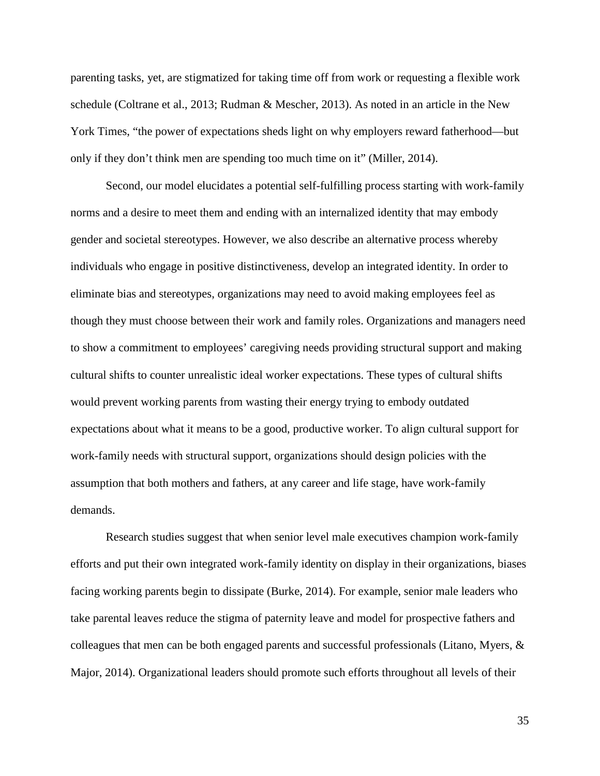parenting tasks, yet, are stigmatized for taking time off from work or requesting a flexible work schedule (Coltrane et al., 2013; Rudman & Mescher, 2013). As noted in an article in the New York Times, "the power of expectations sheds light on why employers reward fatherhood—but only if they don't think men are spending too much time on it" (Miller, 2014).

Second, our model elucidates a potential self-fulfilling process starting with work-family norms and a desire to meet them and ending with an internalized identity that may embody gender and societal stereotypes. However, we also describe an alternative process whereby individuals who engage in positive distinctiveness, develop an integrated identity. In order to eliminate bias and stereotypes, organizations may need to avoid making employees feel as though they must choose between their work and family roles. Organizations and managers need to show a commitment to employees' caregiving needs providing structural support and making cultural shifts to counter unrealistic ideal worker expectations. These types of cultural shifts would prevent working parents from wasting their energy trying to embody outdated expectations about what it means to be a good, productive worker. To align cultural support for work-family needs with structural support, organizations should design policies with the assumption that both mothers and fathers, at any career and life stage, have work-family demands.

Research studies suggest that when senior level male executives champion work-family efforts and put their own integrated work-family identity on display in their organizations, biases facing working parents begin to dissipate (Burke, 2014). For example, senior male leaders who take parental leaves reduce the stigma of paternity leave and model for prospective fathers and colleagues that men can be both engaged parents and successful professionals (Litano, Myers, & Major, 2014). Organizational leaders should promote such efforts throughout all levels of their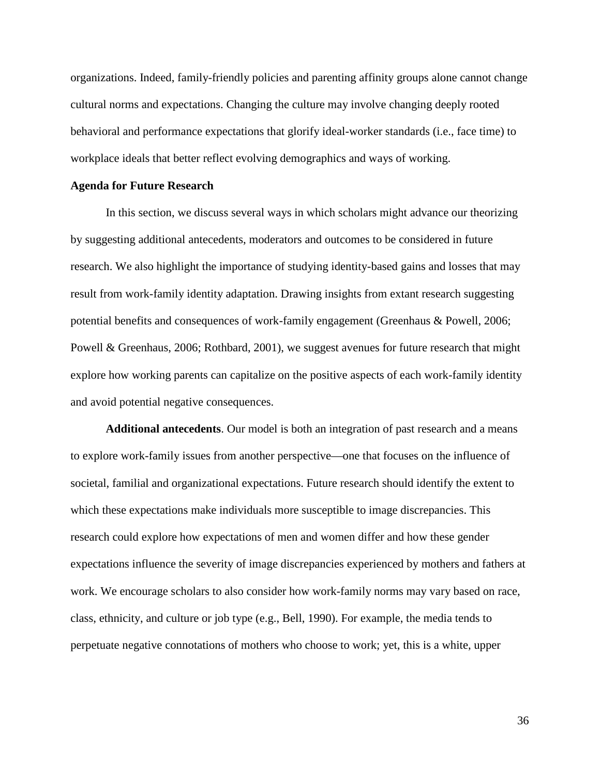organizations. Indeed, family-friendly policies and parenting affinity groups alone cannot change cultural norms and expectations. Changing the culture may involve changing deeply rooted behavioral and performance expectations that glorify ideal-worker standards (i.e., face time) to workplace ideals that better reflect evolving demographics and ways of working.

## **Agenda for Future Research**

In this section, we discuss several ways in which scholars might advance our theorizing by suggesting additional antecedents, moderators and outcomes to be considered in future research. We also highlight the importance of studying identity-based gains and losses that may result from work-family identity adaptation. Drawing insights from extant research suggesting potential benefits and consequences of work-family engagement (Greenhaus & Powell, 2006; Powell & Greenhaus, 2006; Rothbard, 2001), we suggest avenues for future research that might explore how working parents can capitalize on the positive aspects of each work-family identity and avoid potential negative consequences.

**Additional antecedents**. Our model is both an integration of past research and a means to explore work-family issues from another perspective—one that focuses on the influence of societal, familial and organizational expectations. Future research should identify the extent to which these expectations make individuals more susceptible to image discrepancies. This research could explore how expectations of men and women differ and how these gender expectations influence the severity of image discrepancies experienced by mothers and fathers at work. We encourage scholars to also consider how work-family norms may vary based on race, class, ethnicity, and culture or job type (e.g., Bell, 1990). For example, the media tends to perpetuate negative connotations of mothers who choose to work; yet, this is a white, upper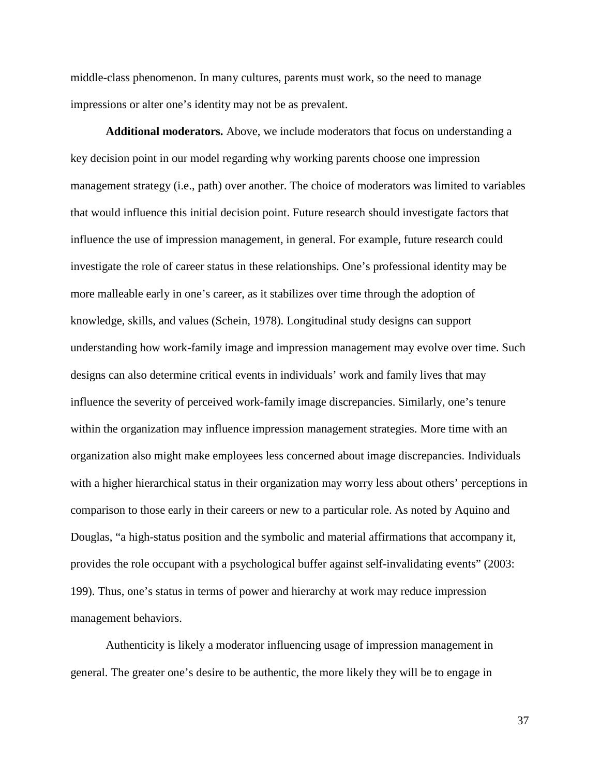middle-class phenomenon. In many cultures, parents must work, so the need to manage impressions or alter one's identity may not be as prevalent.

**Additional moderators.** Above, we include moderators that focus on understanding a key decision point in our model regarding why working parents choose one impression management strategy (i.e., path) over another. The choice of moderators was limited to variables that would influence this initial decision point. Future research should investigate factors that influence the use of impression management, in general. For example, future research could investigate the role of career status in these relationships. One's professional identity may be more malleable early in one's career, as it stabilizes over time through the adoption of knowledge, skills, and values (Schein, 1978). Longitudinal study designs can support understanding how work-family image and impression management may evolve over time. Such designs can also determine critical events in individuals' work and family lives that may influence the severity of perceived work-family image discrepancies. Similarly, one's tenure within the organization may influence impression management strategies. More time with an organization also might make employees less concerned about image discrepancies. Individuals with a higher hierarchical status in their organization may worry less about others' perceptions in comparison to those early in their careers or new to a particular role. As noted by Aquino and Douglas, "a high-status position and the symbolic and material affirmations that accompany it, provides the role occupant with a psychological buffer against self-invalidating events" (2003: 199). Thus, one's status in terms of power and hierarchy at work may reduce impression management behaviors.

Authenticity is likely a moderator influencing usage of impression management in general. The greater one's desire to be authentic, the more likely they will be to engage in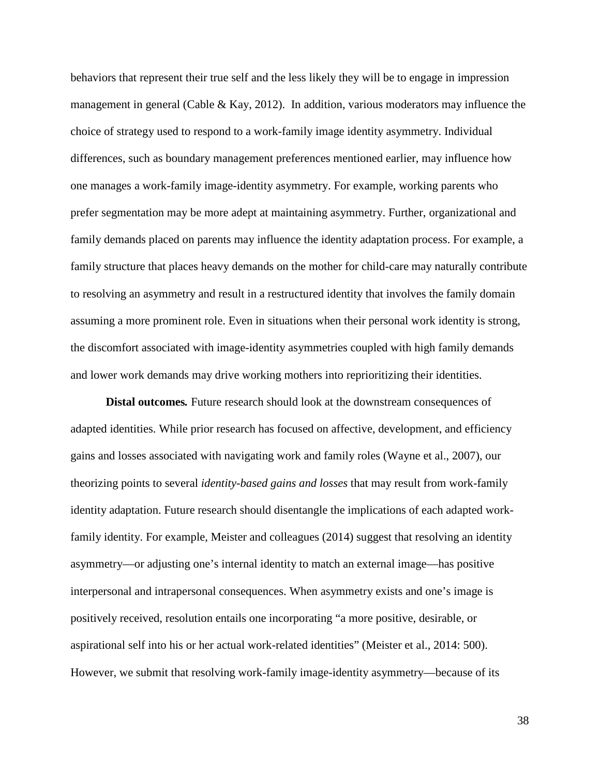behaviors that represent their true self and the less likely they will be to engage in impression management in general (Cable & Kay, 2012). In addition, various moderators may influence the choice of strategy used to respond to a work-family image identity asymmetry. Individual differences, such as boundary management preferences mentioned earlier, may influence how one manages a work-family image-identity asymmetry. For example, working parents who prefer segmentation may be more adept at maintaining asymmetry. Further, organizational and family demands placed on parents may influence the identity adaptation process. For example, a family structure that places heavy demands on the mother for child-care may naturally contribute to resolving an asymmetry and result in a restructured identity that involves the family domain assuming a more prominent role. Even in situations when their personal work identity is strong, the discomfort associated with image-identity asymmetries coupled with high family demands and lower work demands may drive working mothers into reprioritizing their identities.

**Distal outcomes***.* Future research should look at the downstream consequences of adapted identities. While prior research has focused on affective, development, and efficiency gains and losses associated with navigating work and family roles (Wayne et al., 2007), our theorizing points to several *identity-based gains and losses* that may result from work-family identity adaptation. Future research should disentangle the implications of each adapted workfamily identity. For example, Meister and colleagues (2014) suggest that resolving an identity asymmetry—or adjusting one's internal identity to match an external image—has positive interpersonal and intrapersonal consequences. When asymmetry exists and one's image is positively received, resolution entails one incorporating "a more positive, desirable, or aspirational self into his or her actual work-related identities" (Meister et al., 2014: 500). However, we submit that resolving work-family image-identity asymmetry—because of its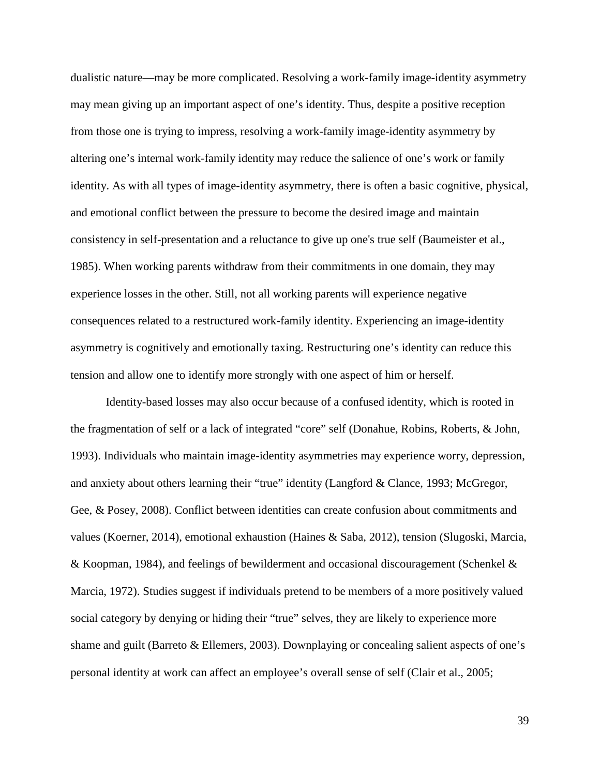dualistic nature—may be more complicated. Resolving a work-family image-identity asymmetry may mean giving up an important aspect of one's identity. Thus, despite a positive reception from those one is trying to impress, resolving a work-family image-identity asymmetry by altering one's internal work-family identity may reduce the salience of one's work or family identity. As with all types of image-identity asymmetry, there is often a basic cognitive, physical, and emotional conflict between the pressure to become the desired image and maintain consistency in self-presentation and a reluctance to give up one's true self (Baumeister et al., 1985). When working parents withdraw from their commitments in one domain, they may experience losses in the other. Still, not all working parents will experience negative consequences related to a restructured work-family identity. Experiencing an image-identity asymmetry is cognitively and emotionally taxing. Restructuring one's identity can reduce this tension and allow one to identify more strongly with one aspect of him or herself.

Identity-based losses may also occur because of a confused identity, which is rooted in the fragmentation of self or a lack of integrated "core" self (Donahue, Robins, Roberts, & John, 1993). Individuals who maintain image-identity asymmetries may experience worry, depression, and anxiety about others learning their "true" identity (Langford & Clance, 1993; McGregor, Gee, & Posey, 2008). Conflict between identities can create confusion about commitments and values (Koerner, 2014), emotional exhaustion (Haines & Saba, 2012), tension (Slugoski, Marcia, & Koopman, 1984), and feelings of bewilderment and occasional discouragement (Schenkel & Marcia, 1972). Studies suggest if individuals pretend to be members of a more positively valued social category by denying or hiding their "true" selves, they are likely to experience more shame and guilt (Barreto & Ellemers, 2003). Downplaying or concealing salient aspects of one's personal identity at work can affect an employee's overall sense of self (Clair et al., 2005;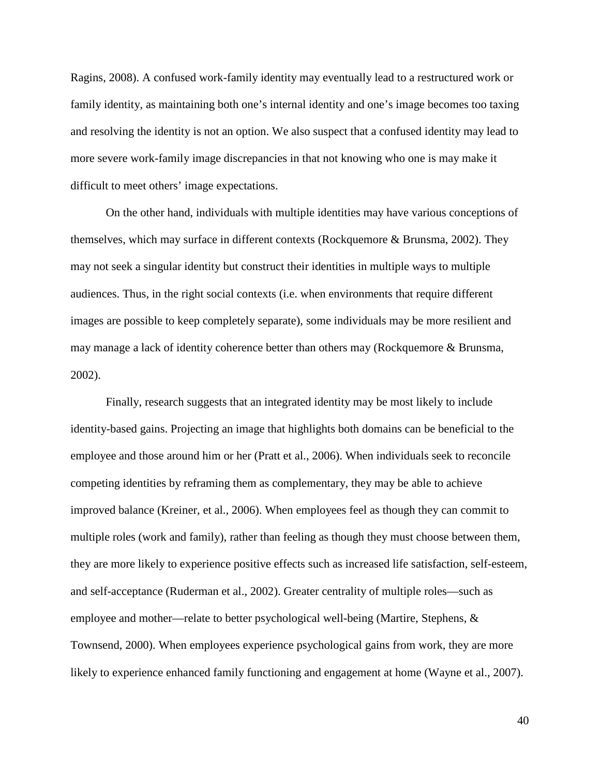Ragins, 2008). A confused work-family identity may eventually lead to a restructured work or family identity, as maintaining both one's internal identity and one's image becomes too taxing and resolving the identity is not an option. We also suspect that a confused identity may lead to more severe work-family image discrepancies in that not knowing who one is may make it difficult to meet others' image expectations.

On the other hand, individuals with multiple identities may have various conceptions of themselves, which may surface in different contexts (Rockquemore & Brunsma, 2002). They may not seek a singular identity but construct their identities in multiple ways to multiple audiences. Thus, in the right social contexts (i.e. when environments that require different images are possible to keep completely separate), some individuals may be more resilient and may manage a lack of identity coherence better than others may (Rockquemore & Brunsma, 2002).

Finally, research suggests that an integrated identity may be most likely to include identity-based gains. Projecting an image that highlights both domains can be beneficial to the employee and those around him or her (Pratt et al., 2006). When individuals seek to reconcile competing identities by reframing them as complementary, they may be able to achieve improved balance (Kreiner, et al., 2006). When employees feel as though they can commit to multiple roles (work and family), rather than feeling as though they must choose between them, they are more likely to experience positive effects such as increased life satisfaction, self-esteem, and self-acceptance (Ruderman et al., 2002). Greater centrality of multiple roles—such as employee and mother—relate to better psychological well-being (Martire, Stephens, & Townsend, 2000). When employees experience psychological gains from work, they are more likely to experience enhanced family functioning and engagement at home (Wayne et al., 2007).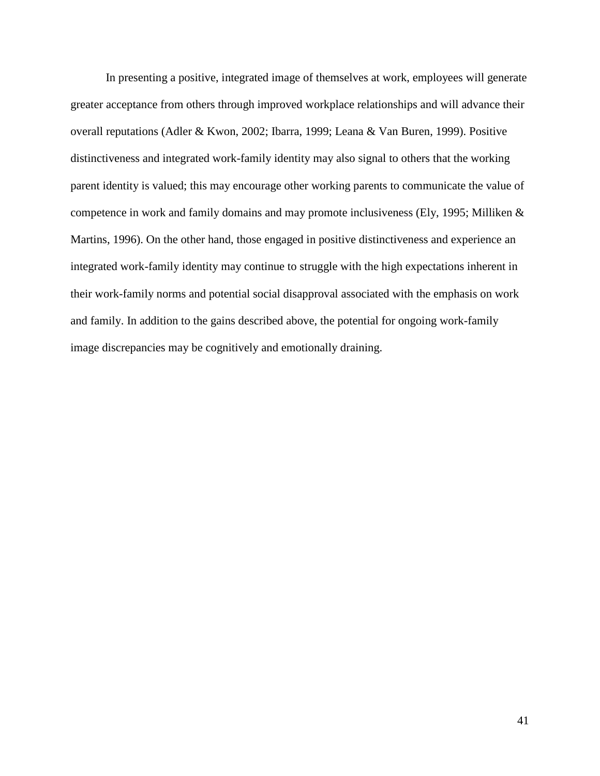In presenting a positive, integrated image of themselves at work, employees will generate greater acceptance from others through improved workplace relationships and will advance their overall reputations (Adler & Kwon, 2002; Ibarra, 1999; Leana & Van Buren, 1999). Positive distinctiveness and integrated work-family identity may also signal to others that the working parent identity is valued; this may encourage other working parents to communicate the value of competence in work and family domains and may promote inclusiveness (Ely, 1995; Milliken & Martins, 1996). On the other hand, those engaged in positive distinctiveness and experience an integrated work-family identity may continue to struggle with the high expectations inherent in their work-family norms and potential social disapproval associated with the emphasis on work and family. In addition to the gains described above, the potential for ongoing work-family image discrepancies may be cognitively and emotionally draining.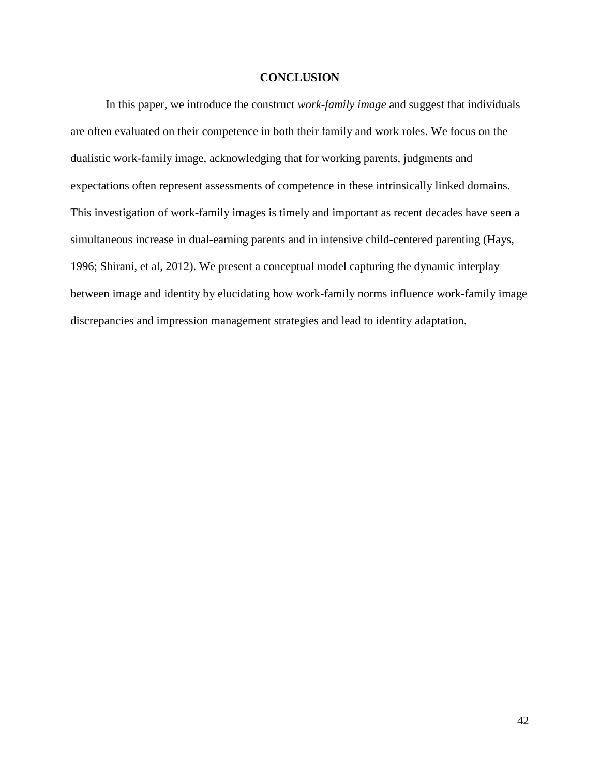## **CONCLUSION**

In this paper, we introduce the construct *work-family image* and suggest that individuals are often evaluated on their competence in both their family and work roles. We focus on the dualistic work-family image, acknowledging that for working parents, judgments and expectations often represent assessments of competence in these intrinsically linked domains. This investigation of work-family images is timely and important as recent decades have seen a simultaneous increase in dual-earning parents and in intensive child-centered parenting (Hays, 1996; Shirani, et al, 2012). We present a conceptual model capturing the dynamic interplay between image and identity by elucidating how work-family norms influence work-family image discrepancies and impression management strategies and lead to identity adaptation.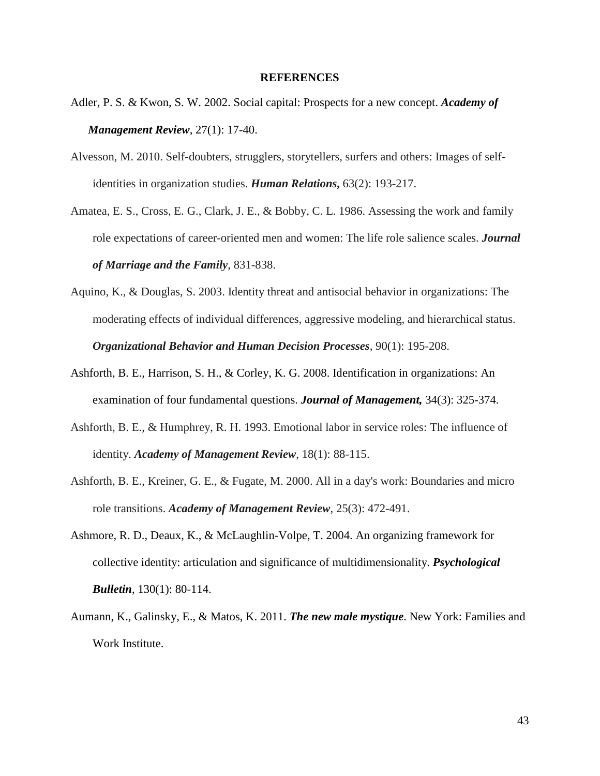### **REFERENCES**

- Adler, P. S. & Kwon, S. W. 2002. Social capital: Prospects for a new concept. *Academy of Management Review*, 27(1): 17-40.
- Alvesson, M. 2010. Self-doubters, strugglers, storytellers, surfers and others: Images of selfidentities in organization studies. *Human Relations***,** 63(2): 193-217.
- Amatea, E. S., Cross, E. G., Clark, J. E., & Bobby, C. L. 1986. Assessing the work and family role expectations of career-oriented men and women: The life role salience scales. *Journal of Marriage and the Family*, 831-838.
- Aquino, K., & Douglas, S. 2003. Identity threat and antisocial behavior in organizations: The moderating effects of individual differences, aggressive modeling, and hierarchical status. *Organizational Behavior and Human Decision Processes*, 90(1): 195-208.
- Ashforth, B. E., Harrison, S. H., & Corley, K. G. 2008. Identification in organizations: An examination of four fundamental questions. *Journal of Management,* 34(3): 325-374.
- Ashforth, B. E., & Humphrey, R. H. 1993. Emotional labor in service roles: The influence of identity. *Academy of Management Review*, 18(1): 88-115.
- Ashforth, B. E., Kreiner, G. E., & Fugate, M. 2000. All in a day's work: Boundaries and micro role transitions. *Academy of Management Review*, 25(3): 472-491.
- Ashmore, R. D., Deaux, K., & McLaughlin-Volpe, T. 2004. An organizing framework for collective identity: articulation and significance of multidimensionality. *Psychological Bulletin*, 130(1): 80-114.
- Aumann, K., Galinsky, E., & Matos, K. 2011. *The new male mystique*. New York: Families and Work Institute.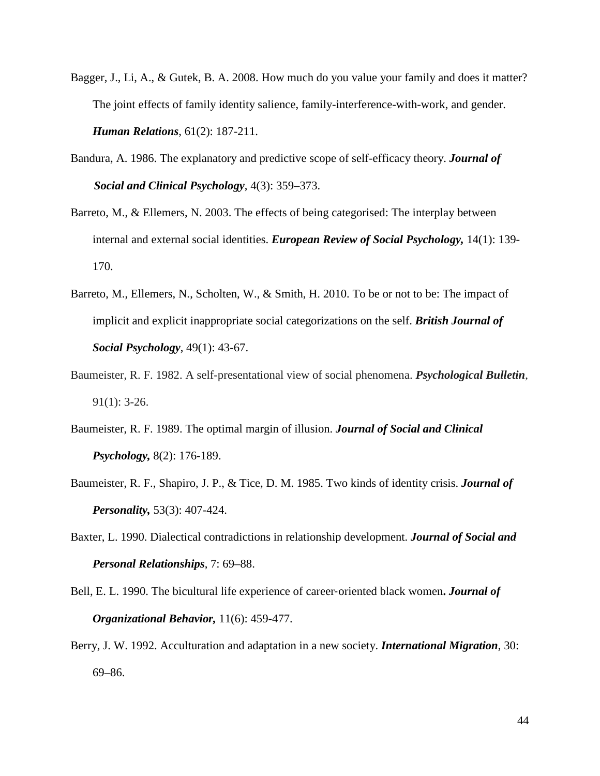- Bagger, J., Li, A., & Gutek, B. A. 2008. How much do you value your family and does it matter? The joint effects of family identity salience, family-interference-with-work, and gender. *Human Relations*, 61(2): 187-211.
- Bandura, A. 1986. The explanatory and predictive scope of self-efficacy theory. *Journal of Social and Clinical Psychology*, 4(3): 359–373.
- Barreto, M., & Ellemers, N. 2003. The effects of being categorised: The interplay between internal and external social identities. *European Review of Social Psychology,* 14(1): 139- 170.
- Barreto, M., Ellemers, N., Scholten, W., & Smith, H. 2010. To be or not to be: The impact of implicit and explicit inappropriate social categorizations on the self. *British Journal of Social Psychology*, 49(1): 43-67.
- Baumeister, R. F. 1982. A self-presentational view of social phenomena. *Psychological Bulletin*, 91(1): 3-26.
- Baumeister, R. F. 1989. The optimal margin of illusion. *Journal of Social and Clinical Psychology,* 8(2): 176-189.
- Baumeister, R. F., Shapiro, J. P., & Tice, D. M. 1985. Two kinds of identity crisis. *Journal of Personality,* 53(3): 407-424.
- Baxter, L. 1990. Dialectical contradictions in relationship development. *Journal of Social and Personal Relationships*, 7: 69–88.
- Bell, E. L. 1990. The bicultural life experience of career‐oriented black women**.** *Journal of Organizational Behavior,* 11(6): 459-477.
- Berry, J. W. 1992. Acculturation and adaptation in a new society. *International Migration*, 30: 69–86.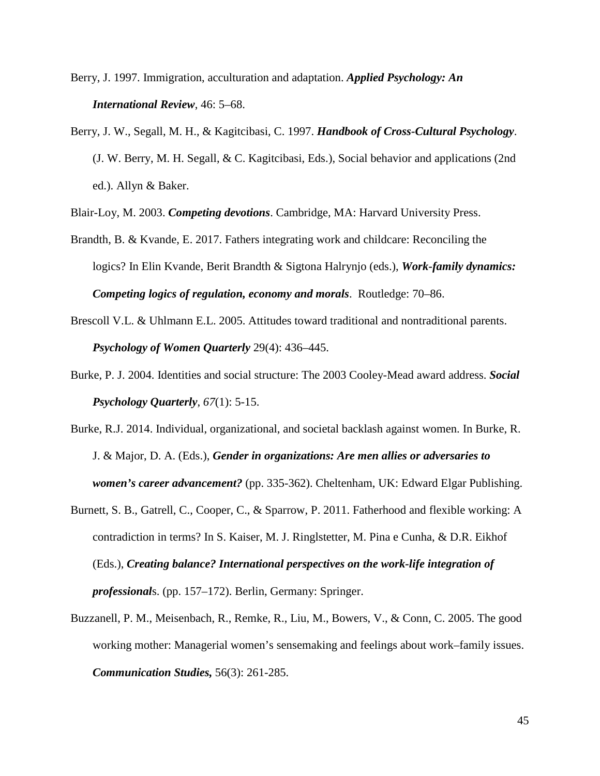Berry, J. 1997. Immigration, acculturation and adaptation. *Applied Psychology: An International Review*, 46: 5–68.

Berry, J. W., Segall, M. H., & Kagitcibasi, C. 1997. *Handbook of Cross-Cultural Psychology*. (J. W. Berry, M. H. Segall, & C. Kagitcibasi, Eds.), Social behavior and applications (2nd ed.). Allyn & Baker.

Blair-Loy, M. 2003. *Competing devotions*. Cambridge, MA: Harvard University Press.

- Brandth, B. & Kvande, E. 2017. Fathers integrating work and childcare: Reconciling the logics? In Elin Kvande, Berit Brandth & Sigtona Halrynjo (eds.), *Work-family dynamics: Competing logics of regulation, economy and morals*. Routledge: 70–86.
- Brescoll V.L. & Uhlmann E.L. 2005. Attitudes toward traditional and nontraditional parents. *Psychology of Women Quarterly* 29(4): 436–445.
- Burke, P. J. 2004. Identities and social structure: The 2003 Cooley-Mead award address. *Social Psychology Quarterly*, *67*(1): 5-15.
- Burke, R.J. 2014. Individual, organizational, and societal backlash against women. In Burke, R. J. & Major, D. A. (Eds.), *Gender in organizations: Are men allies or adversaries to women's career advancement?* (pp. 335-362). Cheltenham, UK: Edward Elgar Publishing.
- Burnett, S. B., Gatrell, C., Cooper, C., & Sparrow, P. 2011. Fatherhood and flexible working: A contradiction in terms? In S. Kaiser, M. J. Ringlstetter, M. Pina e Cunha, & D.R. Eikhof (Eds.), *Creating balance? International perspectives on the work-life integration of professional*s. (pp. 157–172). Berlin, Germany: Springer.
- Buzzanell, P. M., Meisenbach, R., Remke, R., Liu, M., Bowers, V., & Conn, C. 2005. The good working mother: Managerial women's sensemaking and feelings about work–family issues. *Communication Studies,* 56(3): 261-285.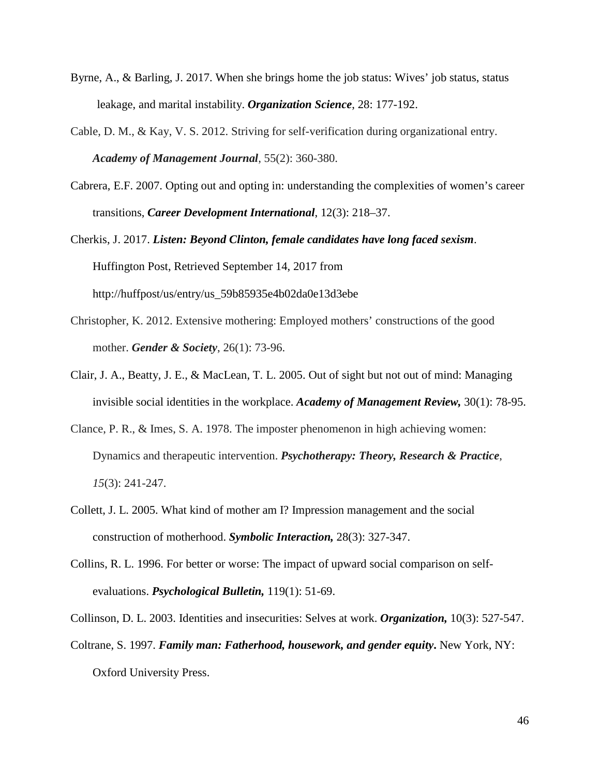- Byrne, A., & Barling, J. 2017. When she brings home the job status: Wives' job status, status leakage, and marital instability. *Organization Science*, 28: 177-192.
- Cable, D. M., & Kay, V. S. 2012. Striving for self-verification during organizational entry. *Academy of Management Journal*, 55(2): 360-380.
- Cabrera, E.F. 2007. Opting out and opting in: understanding the complexities of women's career transitions, *Career Development International*, 12(3): 218–37.

Cherkis, J. 2017. *Listen: Beyond Clinton, female candidates have long faced sexism*. Huffington Post, Retrieved September 14, 2017 from http://huffpost/us/entry/us\_59b85935e4b02da0e13d3ebe

- Christopher, K. 2012. Extensive mothering: Employed mothers' constructions of the good mother. *Gender & Society*, 26(1): 73-96.
- Clair, J. A., Beatty, J. E., & MacLean, T. L. 2005. Out of sight but not out of mind: Managing invisible social identities in the workplace. *Academy of Management Review,* 30(1): 78-95.
- Clance, P. R., & Imes, S. A. 1978. The imposter phenomenon in high achieving women: Dynamics and therapeutic intervention. *Psychotherapy: Theory, Research & Practice*, *15*(3): 241-247.
- Collett, J. L. 2005. What kind of mother am I? Impression management and the social construction of motherhood. *Symbolic Interaction,* 28(3): 327-347.
- Collins, R. L. 1996. For better or worse: The impact of upward social comparison on selfevaluations. *Psychological Bulletin,* 119(1): 51-69.

Collinson, D. L. 2003. Identities and insecurities: Selves at work. *Organization,* 10(3): 527-547.

Coltrane, S. 1997. *Family man: Fatherhood, housework, and gender equity***.** New York, NY: Oxford University Press.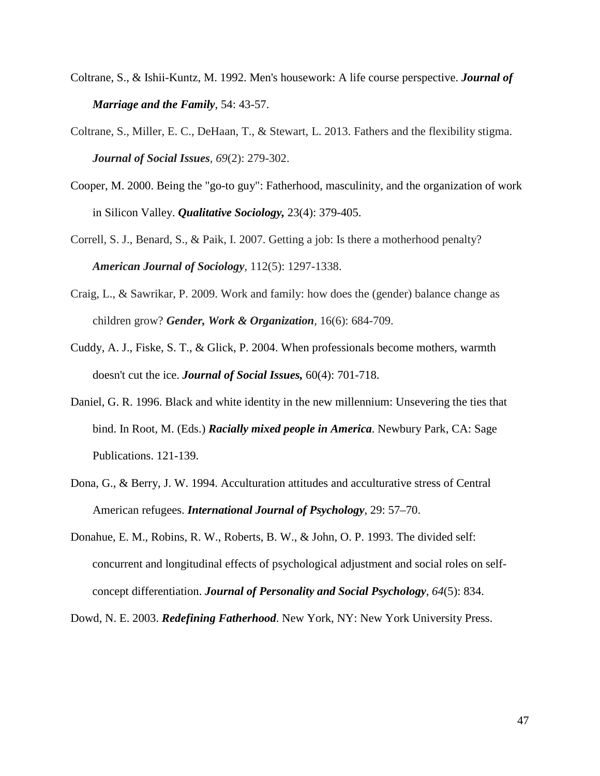- Coltrane, S., & Ishii-Kuntz, M. 1992. Men's housework: A life course perspective. *Journal of Marriage and the Family*, 54: 43-57.
- Coltrane, S., Miller, E. C., DeHaan, T., & Stewart, L. 2013. Fathers and the flexibility stigma. *Journal of Social Issues*, *69*(2): 279-302.
- Cooper, M. 2000. Being the "go-to guy": Fatherhood, masculinity, and the organization of work in Silicon Valley. *Qualitative Sociology,* 23(4): 379-405.
- Correll, S. J., Benard, S., & Paik, I. 2007. Getting a job: Is there a motherhood penalty? *American Journal of Sociology*, 112(5): 1297-1338.
- Craig, L., & Sawrikar, P. 2009. Work and family: how does the (gender) balance change as children grow? *Gender, Work & Organization*, 16(6): 684-709.
- Cuddy, A. J., Fiske, S. T., & Glick, P. 2004. When professionals become mothers, warmth doesn't cut the ice. *Journal of Social Issues,* 60(4): 701-718.
- Daniel, G. R. 1996. Black and white identity in the new millennium: Unsevering the ties that bind. In Root, M. (Eds.) *Racially mixed people in America*. Newbury Park, CA: Sage Publications. 121-139.
- Dona, G., & Berry, J. W. 1994. Acculturation attitudes and acculturative stress of Central American refugees. *International Journal of Psychology*, 29: 57–70.
- Donahue, E. M., Robins, R. W., Roberts, B. W., & John, O. P. 1993. The divided self: concurrent and longitudinal effects of psychological adjustment and social roles on selfconcept differentiation. *Journal of Personality and Social Psychology*, *64*(5): 834.

Dowd, N. E. 2003. *Redefining Fatherhood*. New York, NY: New York University Press.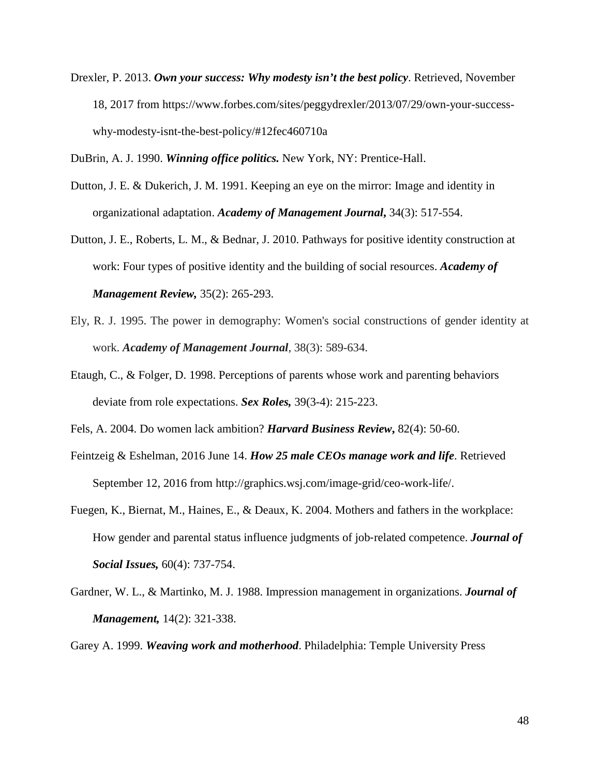Drexler, P. 2013. *Own your success: Why modesty isn't the best policy*. Retrieved, November 18, 2017 from https://www.forbes.com/sites/peggydrexler/2013/07/29/own-your-successwhy-modesty-isnt-the-best-policy/#12fec460710a

DuBrin, A. J. 1990. *Winning office politics.* New York, NY: Prentice-Hall.

- Dutton, J. E. & Dukerich, J. M. 1991. Keeping an eye on the mirror: Image and identity in organizational adaptation. *Academy of Management Journal***,** 34(3): 517-554.
- Dutton, J. E., Roberts, L. M., & Bednar, J. 2010. Pathways for positive identity construction at work: Four types of positive identity and the building of social resources. *Academy of Management Review,* 35(2): 265-293.
- Ely, R. J. 1995. The power in demography: Women's social constructions of gender identity at work. *Academy of Management Journal*, 38(3): 589-634.
- Etaugh, C., & Folger, D. 1998. Perceptions of parents whose work and parenting behaviors deviate from role expectations. *Sex Roles,* 39(3-4): 215-223.
- Fels, A. 2004. Do women lack ambition? *Harvard Business Review***,** 82(4): 50-60.
- Feintzeig & Eshelman, 2016 June 14. *How 25 male CEOs manage work and life*. Retrieved September 12, 2016 from http://graphics.wsj.com/image-grid/ceo-work-life/.
- Fuegen, K., Biernat, M., Haines, E., & Deaux, K. 2004. Mothers and fathers in the workplace: How gender and parental status influence judgments of job-related competence. *Journal of Social Issues,* 60(4): 737-754.
- Gardner, W. L., & Martinko, M. J. 1988. Impression management in organizations. *Journal of Management,* 14(2): 321-338.
- Garey A. 1999. *Weaving work and motherhood*. Philadelphia: Temple University Press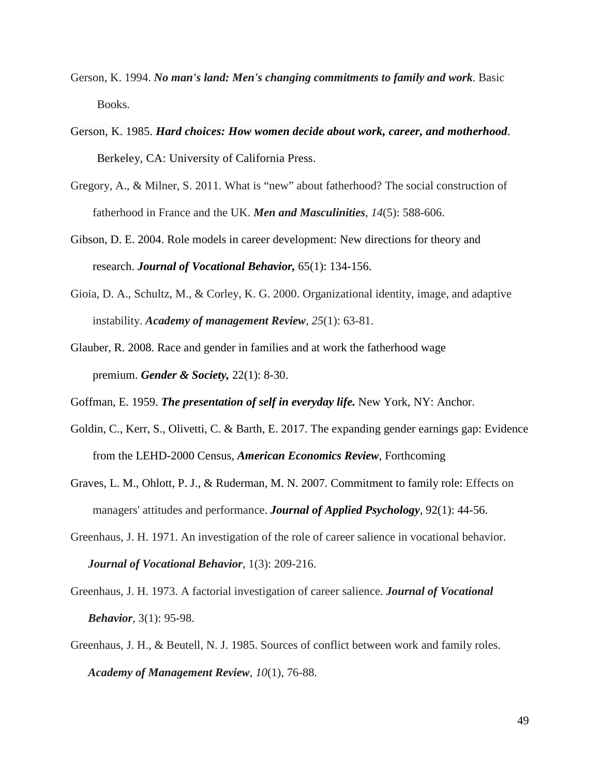- Gerson, K. 1994. *No man's land: Men's changing commitments to family and work*. Basic Books.
- Gerson, K. 1985. *Hard choices: How women decide about work, career, and motherhood*. Berkeley, CA: University of California Press.
- Gregory, A., & Milner, S. 2011. What is "new" about fatherhood? The social construction of fatherhood in France and the UK. *Men and Masculinities*, *14*(5): 588-606.
- Gibson, D. E. 2004. Role models in career development: New directions for theory and research. *Journal of Vocational Behavior,* 65(1): 134-156.
- Gioia, D. A., Schultz, M., & Corley, K. G. 2000. Organizational identity, image, and adaptive instability. *Academy of management Review*, *25*(1): 63-81.
- Glauber, R. 2008. Race and gender in families and at work the fatherhood wage premium. *Gender & Society,* 22(1): 8-30.
- Goffman, E. 1959. *The presentation of self in everyday life.* New York, NY: Anchor.
- Goldin, C., Kerr, S., Olivetti, C. & Barth, E. 2017. The expanding gender earnings gap: Evidence from the LEHD-2000 Census, *American Economics Review*, Forthcoming
- Graves, L. M., Ohlott, P. J., & Ruderman, M. N. 2007. Commitment to family role: Effects on managers' attitudes and performance. *Journal of Applied Psychology*, 92(1): 44-56.
- Greenhaus, J. H. 1971. An investigation of the role of career salience in vocational behavior. *Journal of Vocational Behavior*, 1(3): 209-216.
- Greenhaus, J. H. 1973. A factorial investigation of career salience. *Journal of Vocational Behavior*, 3(1): 95-98.
- Greenhaus, J. H., & Beutell, N. J. 1985. Sources of conflict between work and family roles. *Academy of Management Review*, *10*(1), 76-88.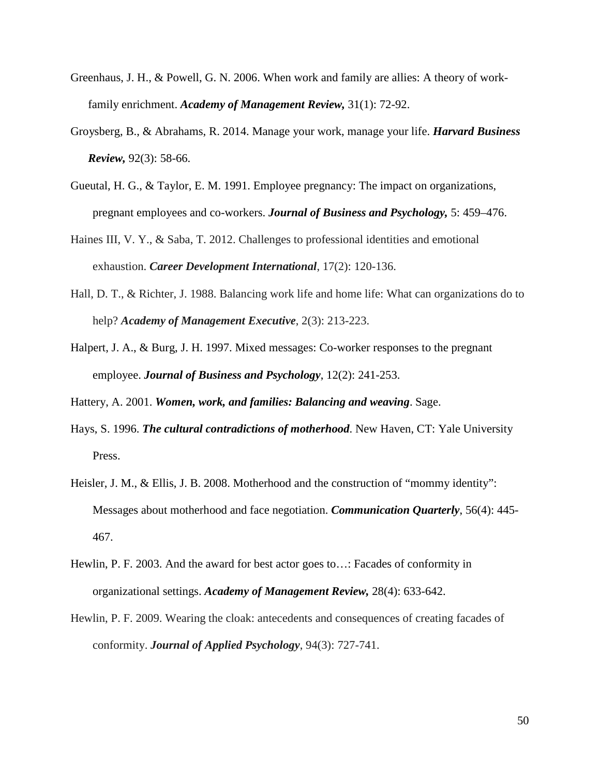- Greenhaus, J. H., & Powell, G. N. 2006. When work and family are allies: A theory of workfamily enrichment. *Academy of Management Review,* 31(1): 72-92.
- Groysberg, B., & Abrahams, R. 2014. Manage your work, manage your life. *Harvard Business Review,* 92(3): 58-66.
- Gueutal, H. G., & Taylor, E. M. 1991. Employee pregnancy: The impact on organizations, pregnant employees and co-workers. *Journal of Business and Psychology,* 5: 459–476.
- Haines III, V. Y., & Saba, T. 2012. Challenges to professional identities and emotional exhaustion. *Career Development International*, 17(2): 120-136.
- Hall, D. T., & Richter, J. 1988. Balancing work life and home life: What can organizations do to help? *Academy of Management Executive*, 2(3): 213-223.
- Halpert, J. A., & Burg, J. H. 1997. Mixed messages: Co-worker responses to the pregnant employee. *Journal of Business and Psychology*, 12(2): 241-253.

Hattery, A. 2001. *Women, work, and families: Balancing and weaving*. Sage.

- Hays, S. 1996. *The cultural contradictions of motherhood*. New Haven, CT: Yale University Press.
- Heisler, J. M., & Ellis, J. B. 2008. Motherhood and the construction of "mommy identity": Messages about motherhood and face negotiation. *Communication Quarterly*, 56(4): 445- 467.
- Hewlin, P. F. 2003. And the award for best actor goes to…: Facades of conformity in organizational settings. *Academy of Management Review,* 28(4): 633-642.
- Hewlin, P. F. 2009. Wearing the cloak: antecedents and consequences of creating facades of conformity. *Journal of Applied Psychology*, 94(3): 727-741.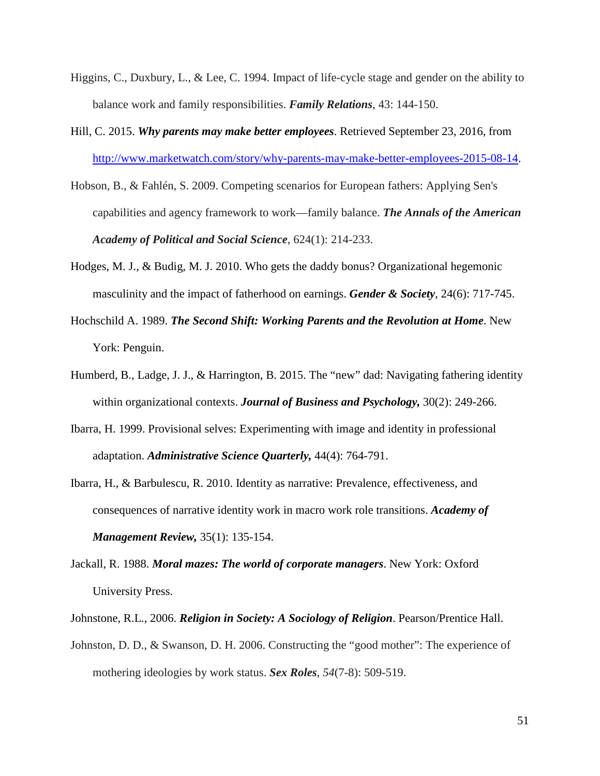- Higgins, C., Duxbury, L., & Lee, C. 1994. Impact of life-cycle stage and gender on the ability to balance work and family responsibilities. *Family Relations*, 43: 144-150.
- Hill, C. 2015. *Why parents may make better employees*. Retrieved September 23, 2016, from [http://www.marketwatch.com/story/why-parents-may-make-better-employees-2015-08-14.](http://www.marketwatch.com/story/why-parents-may-make-better-employees-2015-08-14)
- Hobson, B., & Fahlén, S. 2009. Competing scenarios for European fathers: Applying Sen's capabilities and agency framework to work—family balance. *The Annals of the American Academy of Political and Social Science*, 624(1): 214-233.
- Hodges, M. J., & Budig, M. J. 2010. Who gets the daddy bonus? Organizational hegemonic masculinity and the impact of fatherhood on earnings. *Gender & Society*, 24(6): 717-745.
- Hochschild A. 1989. *The Second Shift: Working Parents and the Revolution at Home*. New York: Penguin.
- Humberd, B., Ladge, J. J., & Harrington, B. 2015. The "new" dad: Navigating fathering identity within organizational contexts. *Journal of Business and Psychology,* 30(2): 249-266.
- Ibarra, H. 1999. Provisional selves: Experimenting with image and identity in professional adaptation. *Administrative Science Quarterly,* 44(4): 764-791.
- Ibarra, H., & Barbulescu, R. 2010. Identity as narrative: Prevalence, effectiveness, and consequences of narrative identity work in macro work role transitions. *Academy of Management Review,* 35(1): 135-154.
- Jackall, R. 1988. *Moral mazes: The world of corporate managers*. New York: Oxford University Press.
- Johnstone, R.L., 2006. *Religion in Society: A Sociology of Religion*. Pearson/Prentice Hall.
- Johnston, D. D., & Swanson, D. H. 2006. Constructing the "good mother": The experience of mothering ideologies by work status. *Sex Roles*, *54*(7-8): 509-519.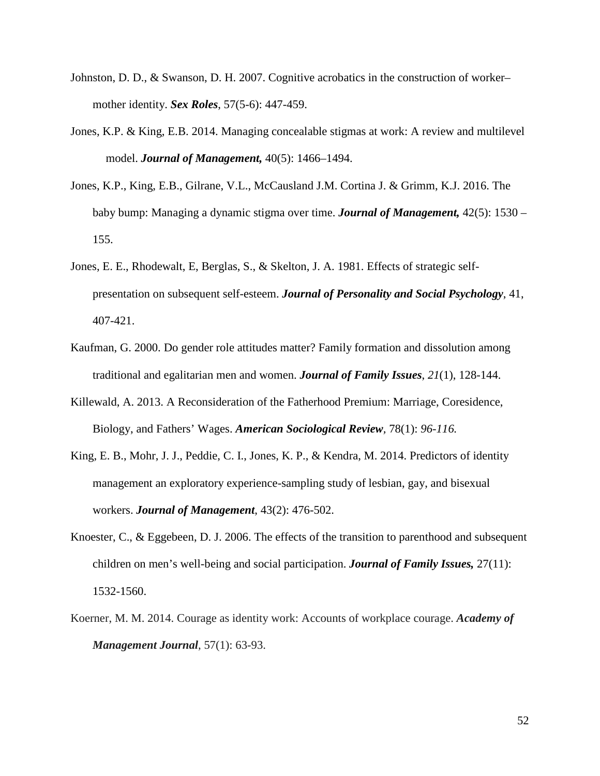- Johnston, D. D., & Swanson, D. H. 2007. Cognitive acrobatics in the construction of worker– mother identity. *Sex Roles*, 57(5-6): 447-459.
- Jones, K.P. & King, E.B. 2014. Managing concealable stigmas at work: A review and multilevel model. *Journal of Management,* 40(5): 1466–1494.
- Jones, K.P., King, E.B., Gilrane, V.L., McCausland J.M. Cortina J. & Grimm, K.J. 2016. The baby bump: Managing a dynamic stigma over time. *Journal of Management,* 42(5): 1530 – 155.
- Jones, E. E., Rhodewalt, E, Berglas, S., & Skelton, J. A. 1981. Effects of strategic selfpresentation on subsequent self-esteem. *Journal of Personality and Social Psychology*, 41, 407-421.
- Kaufman, G. 2000. Do gender role attitudes matter? Family formation and dissolution among traditional and egalitarian men and women. *Journal of Family Issues*, *21*(1), 128-144.
- Killewald, A. 2013. A Reconsideration of the Fatherhood Premium: Marriage, Coresidence, Biology, and Fathers' Wages. *American Sociological Review,* 78(1): *96-116.*
- King, E. B., Mohr, J. J., Peddie, C. I., Jones, K. P., & Kendra, M. 2014. Predictors of identity management an exploratory experience-sampling study of lesbian, gay, and bisexual workers. *Journal of Management*, 43(2): 476-502.
- Knoester, C., & Eggebeen, D. J. 2006. The effects of the transition to parenthood and subsequent children on men's well-being and social participation. *Journal of Family Issues,* 27(11): 1532-1560.
- Koerner, M. M. 2014. Courage as identity work: Accounts of workplace courage. *Academy of Management Journal*, 57(1): 63-93.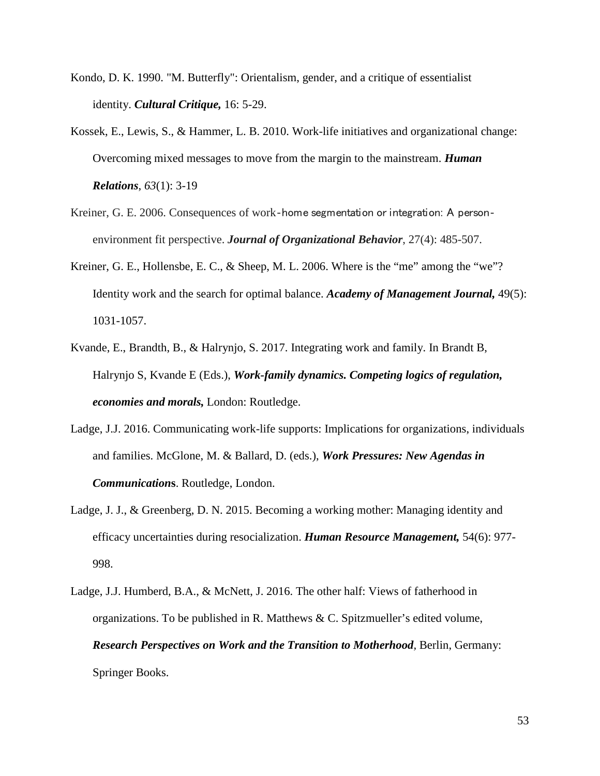- Kondo, D. K. 1990. "M. Butterfly": Orientalism, gender, and a critique of essentialist identity. *Cultural Critique,* 16: 5-29.
- Kossek, E., Lewis, S., & Hammer, L. B. 2010. Work-life initiatives and organizational change: Overcoming mixed messages to move from the margin to the mainstream. *Human Relations*, *63*(1): 3-19
- Kreiner, G. E. 2006. Consequences of work-home segmentation or integration: A personenvironment fit perspective. *Journal of Organizational Behavior*, 27(4): 485-507.
- Kreiner, G. E., Hollensbe, E. C., & Sheep, M. L. 2006. Where is the "me" among the "we"? Identity work and the search for optimal balance. *Academy of Management Journal,* 49(5): 1031-1057.
- Kvande, E., Brandth, B., & Halrynjo, S. 2017. Integrating work and family. In Brandt B, Halrynjo S, Kvande E (Eds.), *Work-family dynamics. Competing logics of regulation, economies and morals,* London: Routledge.
- Ladge, J.J. 2016. Communicating work-life supports: Implications for organizations, individuals and families. McGlone, M. & Ballard, D. (eds.), *Work Pressures: New Agendas in Communication***s**. Routledge, London.
- Ladge, J. J., & Greenberg, D. N. 2015. Becoming a working mother: Managing identity and efficacy uncertainties during resocialization. *Human Resource Management,* 54(6): 977- 998.
- Ladge, J.J. Humberd, B.A., & McNett, J. 2016. The other half: Views of fatherhood in organizations. To be published in R. Matthews  $\& C$ . Spitzmueller's edited volume, *Research Perspectives on Work and the Transition to Motherhood,* Berlin, Germany: Springer Books.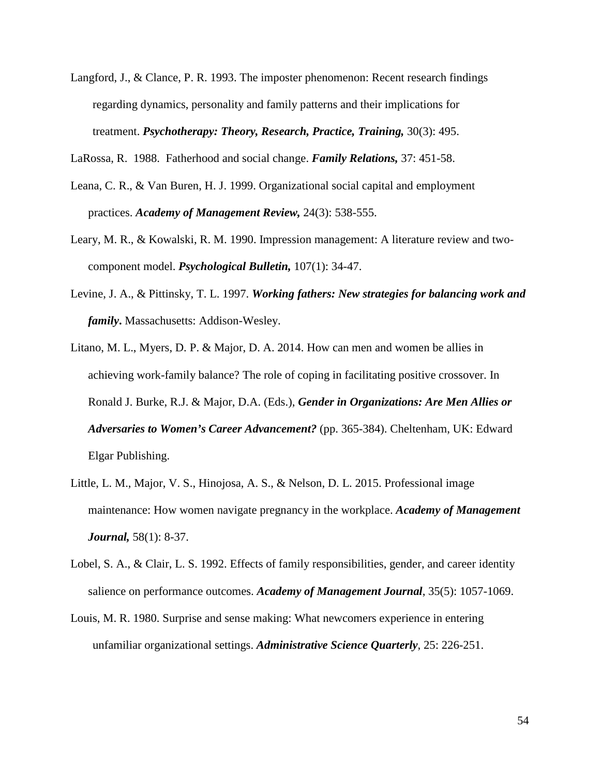- Langford, J., & Clance, P. R. 1993. The imposter phenomenon: Recent research findings regarding dynamics, personality and family patterns and their implications for treatment. *Psychotherapy: Theory, Research, Practice, Training,* 30(3): 495.
- LaRossa, R. 1988. Fatherhood and social change. *Family Relations,* 37: 451-58.
- Leana, C. R., & Van Buren, H. J. 1999. Organizational social capital and employment practices. *Academy of Management Review,* 24(3): 538-555.
- Leary, M. R., & Kowalski, R. M. 1990. Impression management: A literature review and twocomponent model. *Psychological Bulletin,* 107(1): 34-47.
- Levine, J. A., & Pittinsky, T. L. 1997. *Working fathers: New strategies for balancing work and family***.** Massachusetts: Addison-Wesley.
- Litano, M. L., Myers, D. P. & Major, D. A. 2014. How can men and women be allies in achieving work-family balance? The role of coping in facilitating positive crossover. In Ronald J. Burke, R.J. & Major, D.A. (Eds.), *Gender in Organizations: Are Men Allies or Adversaries to Women's Career Advancement?* (pp. 365-384). Cheltenham, UK: Edward Elgar Publishing.
- Little, L. M., Major, V. S., Hinojosa, A. S., & Nelson, D. L. 2015. Professional image maintenance: How women navigate pregnancy in the workplace. *Academy of Management Journal,* 58(1): 8-37.
- Lobel, S. A., & Clair, L. S. 1992. Effects of family responsibilities, gender, and career identity salience on performance outcomes. *Academy of Management Journal*, 35(5): 1057-1069.
- Louis, M. R. 1980. Surprise and sense making: What newcomers experience in entering unfamiliar organizational settings. *Administrative Science Quarterly*, 25: 226-251.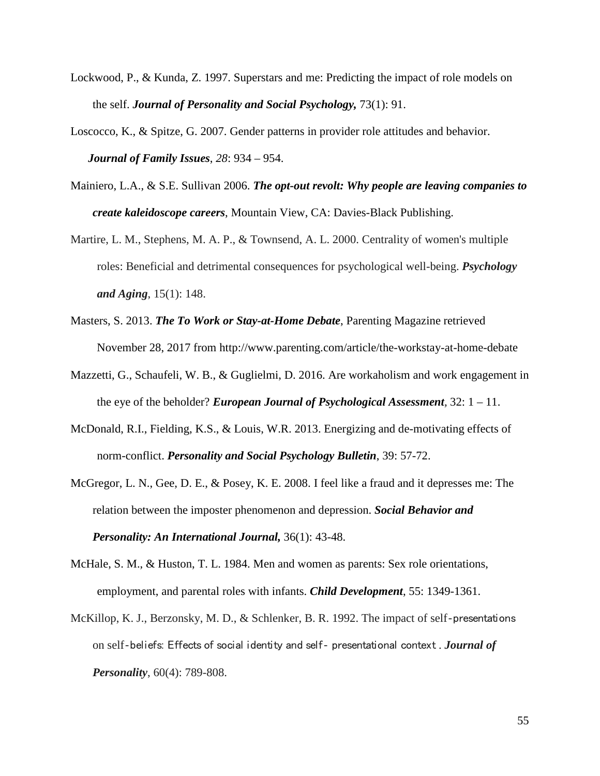- Lockwood, P., & Kunda, Z. 1997. Superstars and me: Predicting the impact of role models on the self. *Journal of Personality and Social Psychology,* 73(1): 91.
- Loscocco, K., & Spitze, G. 2007. Gender patterns in provider role attitudes and behavior. *Journal of Family Issues*, *28*: 934 – 954.
- Mainiero, L.A., & S.E. Sullivan 2006. *The opt-out revolt: Why people are leaving companies to create kaleidoscope careers*, Mountain View, CA: Davies-Black Publishing.
- Martire, L. M., Stephens, M. A. P., & Townsend, A. L. 2000. Centrality of women's multiple roles: Beneficial and detrimental consequences for psychological well-being. *Psychology and Aging*, 15(1): 148.
- Masters, S. 2013. *The To Work or Stay-at-Home Debate*, Parenting Magazine retrieved November 28, 2017 from http://www.parenting.com/article/the-workstay-at-home-debate
- Mazzetti, G., Schaufeli, W. B., & Guglielmi, D. 2016. Are workaholism and work engagement in the eye of the beholder? *European Journal of Psychological Assessment,* 32: 1 – 11.
- McDonald, R.I., Fielding, K.S., & Louis, W.R. 2013. Energizing and de-motivating effects of norm-conflict. *Personality and Social Psychology Bulletin*, 39: 57-72.
- McGregor, L. N., Gee, D. E., & Posey, K. E. 2008. I feel like a fraud and it depresses me: The relation between the imposter phenomenon and depression. *Social Behavior and Personality: An International Journal,* 36(1): 43-48.
- McHale, S. M., & Huston, T. L. 1984. Men and women as parents: Sex role orientations, employment, and parental roles with infants. *Child Development*, 55: 1349-1361.
- McKillop, K. J., Berzonsky, M. D., & Schlenker, B. R. 1992. The impact of self-presentations on self‐beliefs: Effects of social identity and self‐ presentational context . *Journal of Personality*, 60(4): 789-808.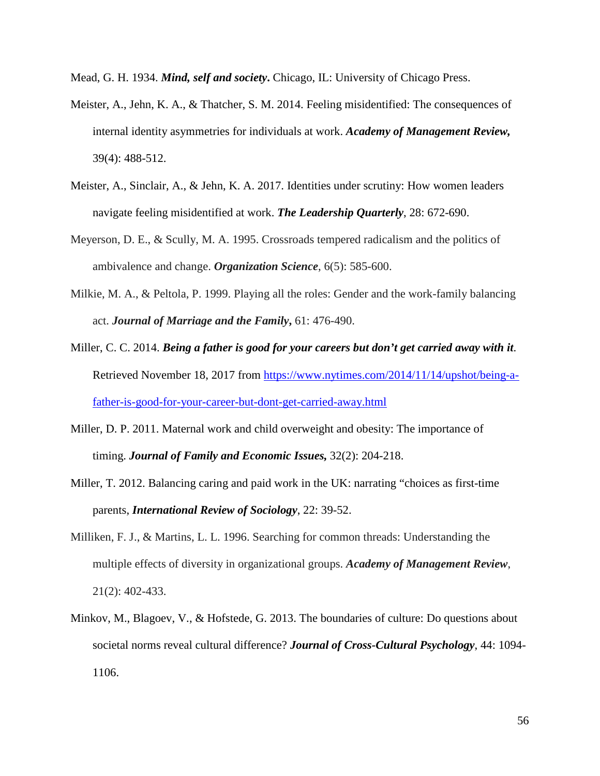Mead, G. H. 1934. *Mind, self and society***.** Chicago, IL: University of Chicago Press.

- Meister, A., Jehn, K. A., & Thatcher, S. M. 2014. Feeling misidentified: The consequences of internal identity asymmetries for individuals at work. *Academy of Management Review,* 39(4): 488-512.
- Meister, A., Sinclair, A., & Jehn, K. A. 2017. Identities under scrutiny: How women leaders navigate feeling misidentified at work. *The Leadership Quarterly*, 28: 672-690.
- Meyerson, D. E., & Scully, M. A. 1995. Crossroads tempered radicalism and the politics of ambivalence and change. *Organization Science*, 6(5): 585-600.
- Milkie, M. A., & Peltola, P. 1999. Playing all the roles: Gender and the work-family balancing act. *Journal of Marriage and the Family***,** 61: 476-490.
- Miller, C. C. 2014. *Being a father is good for your careers but don't get carried away with it*. Retrieved November 18, 2017 from [https://www.nytimes.com/2014/11/14/upshot/being-a](https://www.nytimes.com/2014/11/14/upshot/being-a-father-is-good-for-your-career-but-dont-get-carried-away.html)[father-is-good-for-your-career-but-dont-get-carried-away.html](https://www.nytimes.com/2014/11/14/upshot/being-a-father-is-good-for-your-career-but-dont-get-carried-away.html)
- Miller, D. P. 2011. Maternal work and child overweight and obesity: The importance of timing. *Journal of Family and Economic Issues,* 32(2): 204-218.
- Miller, T. 2012. Balancing caring and paid work in the UK: narrating "choices as first-time parents, *International Review of Sociology*, 22: 39-52.
- Milliken, F. J., & Martins, L. L. 1996. Searching for common threads: Understanding the multiple effects of diversity in organizational groups. *Academy of Management Review*, 21(2): 402-433.
- Minkov, M., Blagoev, V., & Hofstede, G. 2013. The boundaries of culture: Do questions about societal norms reveal cultural difference? *Journal of Cross-Cultural Psychology*, 44: 1094- 1106.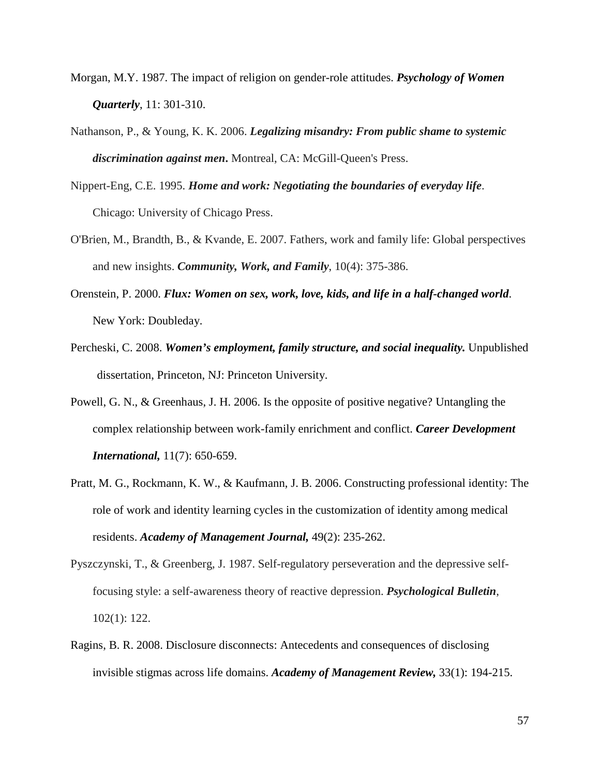- Morgan, M.Y. 1987. The impact of religion on gender-role attitudes. *Psychology of Women Quarterly*, 11: 301-310.
- Nathanson, P., & Young, K. K. 2006. *Legalizing misandry: From public shame to systemic discrimination against men***.** Montreal, CA: McGill-Queen's Press.
- Nippert-Eng, C.E. 1995. *Home and work: Negotiating the boundaries of everyday life*. Chicago: University of Chicago Press.
- O'Brien, M., Brandth, B., & Kvande, E. 2007. Fathers, work and family life: Global perspectives and new insights. *Community, Work, and Family*, 10(4): 375-386.
- Orenstein, P. 2000. *Flux: Women on sex, work, love, kids, and life in a half-changed world*. New York: Doubleday.
- Percheski, C. 2008. *Women's employment, family structure, and social inequality.* Unpublished dissertation, Princeton, NJ: Princeton University.
- Powell, G. N., & Greenhaus, J. H. 2006. Is the opposite of positive negative? Untangling the complex relationship between work-family enrichment and conflict. *Career Development International,* 11(7): 650-659.
- Pratt, M. G., Rockmann, K. W., & Kaufmann, J. B. 2006. Constructing professional identity: The role of work and identity learning cycles in the customization of identity among medical residents. *Academy of Management Journal,* 49(2): 235-262.
- Pyszczynski, T., & Greenberg, J. 1987. Self-regulatory perseveration and the depressive selffocusing style: a self-awareness theory of reactive depression. *Psychological Bulletin*, 102(1): 122.
- Ragins, B. R. 2008. Disclosure disconnects: Antecedents and consequences of disclosing invisible stigmas across life domains. *Academy of Management Review,* 33(1): 194-215.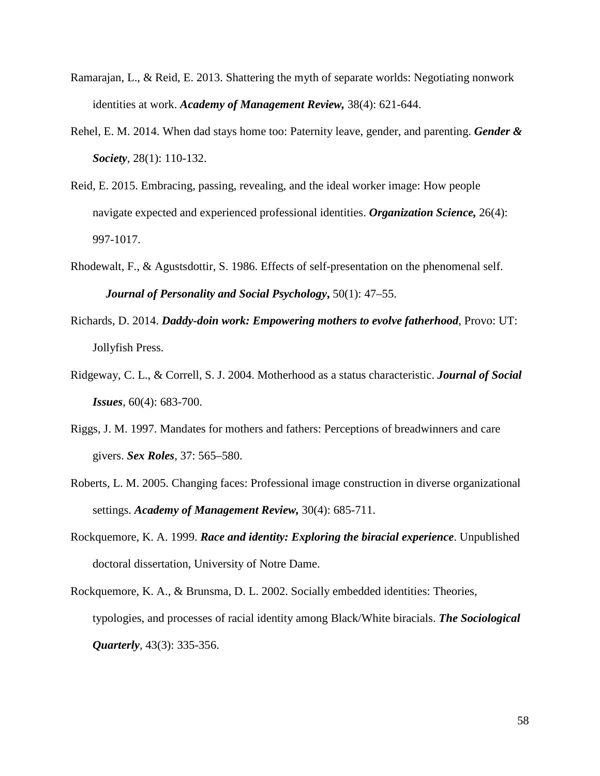- Ramarajan, L., & Reid, E. 2013. Shattering the myth of separate worlds: Negotiating nonwork identities at work. *Academy of Management Review,* 38(4): 621-644.
- Rehel, E. M. 2014. When dad stays home too: Paternity leave, gender, and parenting. *Gender & Society*, 28(1): 110-132.
- Reid, E. 2015. Embracing, passing, revealing, and the ideal worker image: How people navigate expected and experienced professional identities. *Organization Science,* 26(4): 997-1017.
- Rhodewalt, F., & Agustsdottir, S. 1986. Effects of self-presentation on the phenomenal self. *Journal of Personality and Social Psychology***,** 50(1): 47–55.
- Richards, D. 2014. *Daddy-doin work: Empowering mothers to evolve fatherhood*, Provo: UT: Jollyfish Press.
- Ridgeway, C. L., & Correll, S. J. 2004. Motherhood as a status characteristic. *Journal of Social Issues*, 60(4): 683-700.
- Riggs, J. M. 1997. Mandates for mothers and fathers: Perceptions of breadwinners and care givers. *Sex Roles*, 37: 565–580.
- Roberts, L. M. 2005. Changing faces: Professional image construction in diverse organizational settings. *Academy of Management Review,* 30(4): 685-711.
- Rockquemore, K. A. 1999. *Race and identity: Exploring the biracial experience*. Unpublished doctoral dissertation, University of Notre Dame.
- Rockquemore, K. A., & Brunsma, D. L. 2002. Socially embedded identities: Theories, typologies, and processes of racial identity among Black/White biracials. *The Sociological Quarterly*, 43(3): 335-356.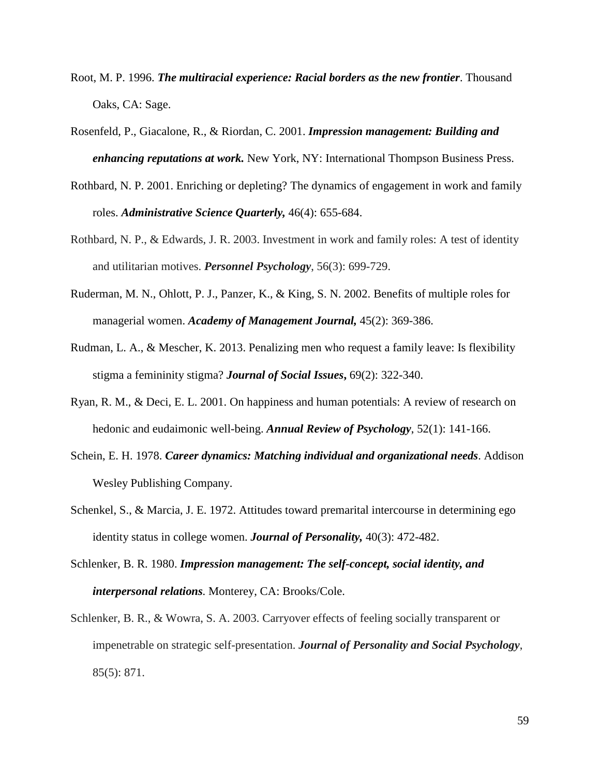- Root, M. P. 1996. *The multiracial experience: Racial borders as the new frontier*. Thousand Oaks, CA: Sage.
- Rosenfeld, P., Giacalone, R., & Riordan, C. 2001. *Impression management: Building and enhancing reputations at work.* New York, NY: International Thompson Business Press.
- Rothbard, N. P. 2001. Enriching or depleting? The dynamics of engagement in work and family roles. *Administrative Science Quarterly,* 46(4): 655-684.
- Rothbard, N. P., & Edwards, J. R. 2003. Investment in work and family roles: A test of identity and utilitarian motives. *Personnel Psychology*, 56(3): 699-729.
- Ruderman, M. N., Ohlott, P. J., Panzer, K., & King, S. N. 2002. Benefits of multiple roles for managerial women. *Academy of Management Journal,* 45(2): 369-386.
- Rudman, L. A., & Mescher, K. 2013. Penalizing men who request a family leave: Is flexibility stigma a femininity stigma? *Journal of Social Issues***,** 69(2): 322-340.
- Ryan, R. M., & Deci, E. L. 2001. On happiness and human potentials: A review of research on hedonic and eudaimonic well-being. *Annual Review of Psychology*, 52(1): 141-166.
- Schein, E. H. 1978. *Career dynamics: Matching individual and organizational needs*. Addison Wesley Publishing Company.
- Schenkel, S., & Marcia, J. E. 1972. Attitudes toward premarital intercourse in determining ego identity status in college women. *Journal of Personality,* 40(3): 472-482.
- Schlenker, B. R. 1980. *Impression management: The self-concept, social identity, and interpersonal relations.* Monterey, CA: Brooks/Cole.
- Schlenker, B. R., & Wowra, S. A. 2003. Carryover effects of feeling socially transparent or impenetrable on strategic self-presentation. *Journal of Personality and Social Psychology*, 85(5): 871.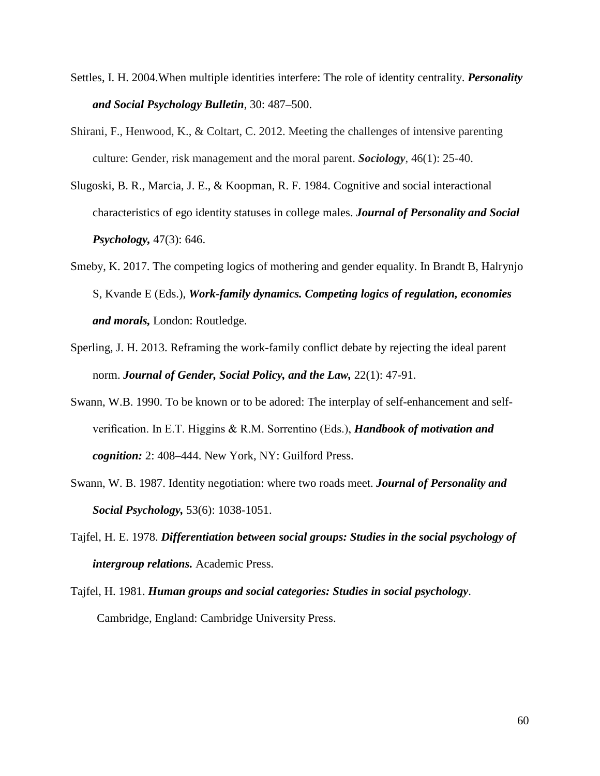- Settles, I. H. 2004.When multiple identities interfere: The role of identity centrality. *Personality and Social Psychology Bulletin*, 30: 487–500.
- Shirani, F., Henwood, K., & Coltart, C. 2012. Meeting the challenges of intensive parenting culture: Gender, risk management and the moral parent. *Sociology*, 46(1): 25-40.
- Slugoski, B. R., Marcia, J. E., & Koopman, R. F. 1984. Cognitive and social interactional characteristics of ego identity statuses in college males. *Journal of Personality and Social Psychology,* 47(3): 646.
- Smeby, K. 2017. The competing logics of mothering and gender equality. In Brandt B, Halrynjo S, Kvande E (Eds.), *Work-family dynamics. Competing logics of regulation, economies and morals,* London: Routledge.
- Sperling, J. H. 2013. Reframing the work-family conflict debate by rejecting the ideal parent norm. *Journal of Gender, Social Policy, and the Law,* 22(1): 47-91.
- Swann, W.B. 1990. To be known or to be adored: The interplay of self-enhancement and selfverification. In E.T. Higgins & R.M. Sorrentino (Eds.), *Handbook of motivation and cognition:* 2: 408–444. New York, NY: Guilford Press.
- Swann, W. B. 1987. Identity negotiation: where two roads meet. *Journal of Personality and Social Psychology,* 53(6): 1038-1051.
- Tajfel, H. E. 1978. *Differentiation between social groups: Studies in the social psychology of intergroup relations.* Academic Press.
- Tajfel, H. 1981. *Human groups and social categories: Studies in social psychology*. Cambridge, England: Cambridge University Press.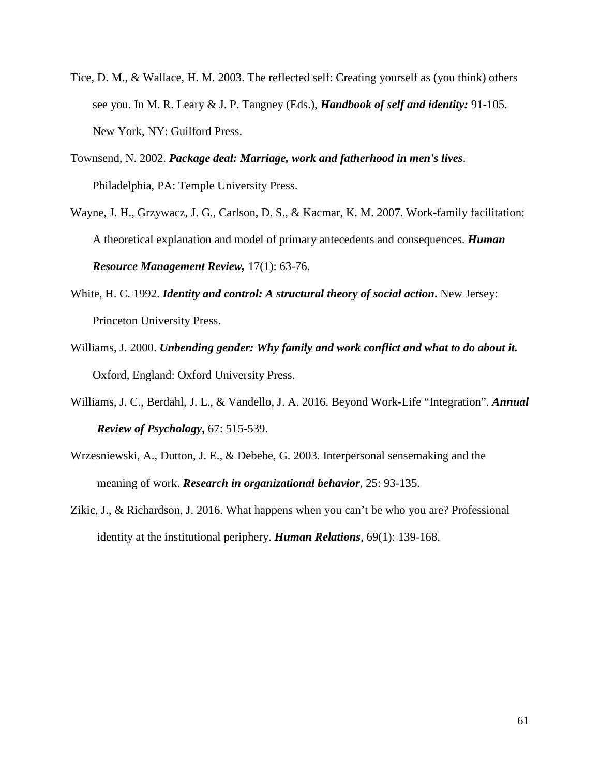- Tice, D. M., & Wallace, H. M. 2003. The reflected self: Creating yourself as (you think) others see you. In M. R. Leary & J. P. Tangney (Eds.), *Handbook of self and identity:* 91-105. New York, NY: Guilford Press.
- Townsend, N. 2002. *Package deal: Marriage, work and fatherhood in men's lives*. Philadelphia, PA: Temple University Press.
- Wayne, J. H., Grzywacz, J. G., Carlson, D. S., & Kacmar, K. M. 2007. Work-family facilitation: A theoretical explanation and model of primary antecedents and consequences. *Human Resource Management Review,* 17(1): 63-76.
- White, H. C. 1992. *Identity and control: A structural theory of social action***.** New Jersey: Princeton University Press.
- Williams, J. 2000. *Unbending gender: Why family and work conflict and what to do about it.* Oxford, England: Oxford University Press.
- Williams, J. C., Berdahl, J. L., & Vandello, J. A. 2016. Beyond Work-Life "Integration". *Annual Review of Psychology***,** 67: 515-539.
- Wrzesniewski, A., Dutton, J. E., & Debebe, G. 2003. Interpersonal sensemaking and the meaning of work. *Research in organizational behavior*, 25: 93-135.
- Zikic, J., & Richardson, J. 2016. What happens when you can't be who you are? Professional identity at the institutional periphery. *Human Relations*, 69(1): 139-168.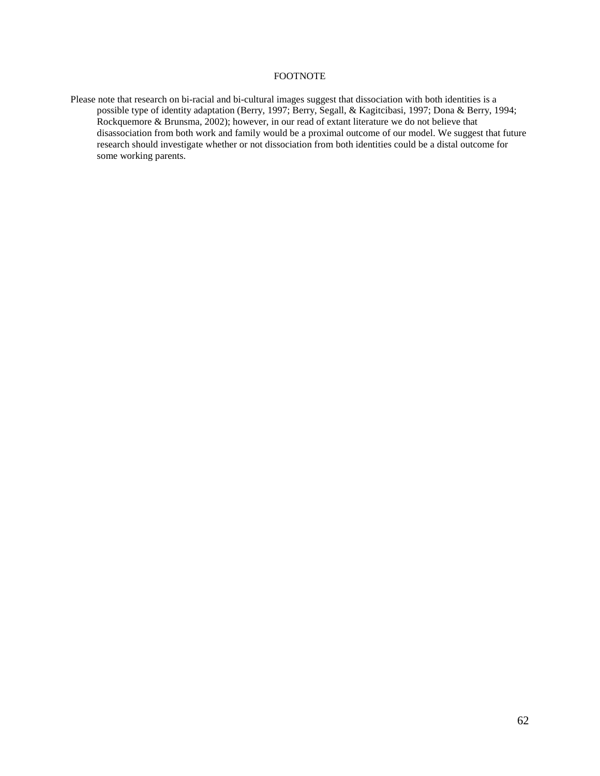### FOOTNOTE

Please note that research on bi-racial and bi-cultural images suggest that dissociation with both identities is a possible type of identity adaptation (Berry, 1997; Berry, Segall, & Kagitcibasi, 1997; Dona & Berry, 1994; Rockquemore & Brunsma, 2002); however, in our read of extant literature we do not believe that disassociation from both work and family would be a proximal outcome of our model. We suggest that future research should investigate whether or not dissociation from both identities could be a distal outcome for some working parents.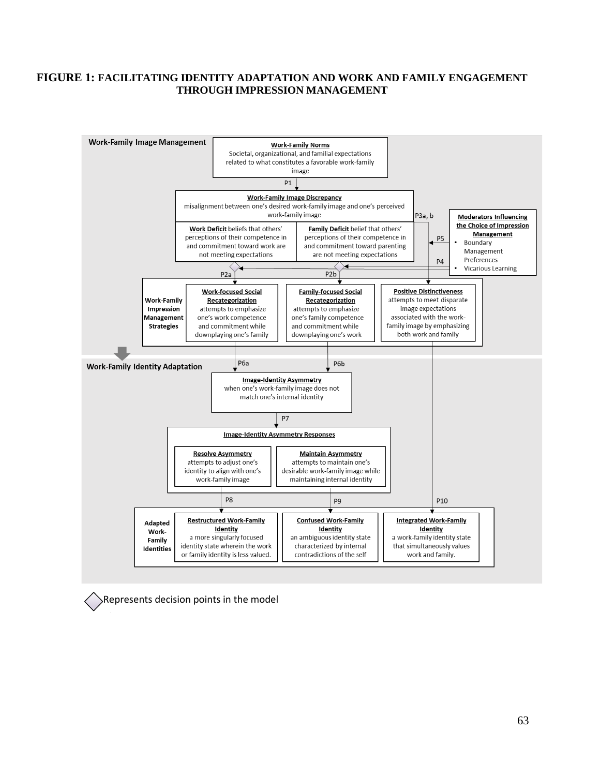## **FIGURE 1: FACILITATING IDENTITY ADAPTATION AND WORK AND FAMILY ENGAGEMENT THROUGH IMPRESSION MANAGEMENT**



Represents decision points in the model